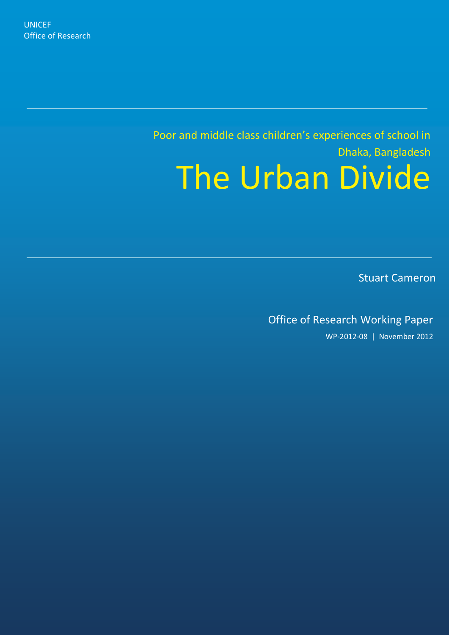Poor and middle class children's experiences of school in Dhaka, Bangladesh The Urban Divide

Stuart Cameron

Office of Research Working Paper

WP-2012-08 | November 2012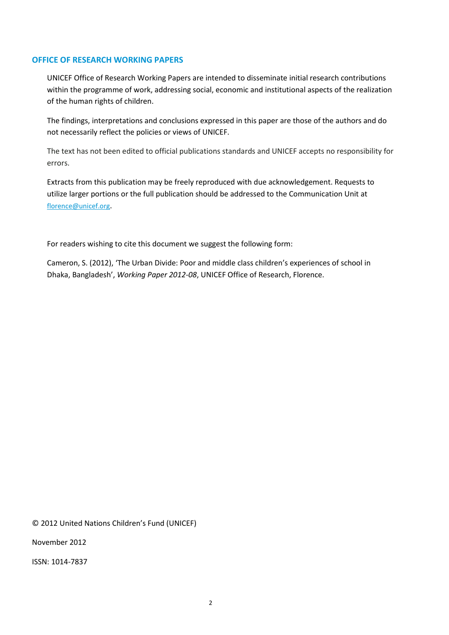#### **OFFICE OF RESEARCH WORKING PAPERS**

UNICEF Office of Research Working Papers are intended to disseminate initial research contributions within the programme of work, addressing social, economic and institutional aspects of the realization of the human rights of children.

The findings, interpretations and conclusions expressed in this paper are those of the authors and do not necessarily reflect the policies or views of UNICEF.

The text has not been edited to official publications standards and UNICEF accepts no responsibility for errors.

Extracts from this publication may be freely reproduced with due acknowledgement. Requests to utilize larger portions or the full publication should be addressed to the Communication Unit at [florence@unicef.org](mailto:florence@unicef.org).

For readers wishing to cite this document we suggest the following form:

Cameron, S. (2012), 'The Urban Divide: Poor and middle class children's experiences of school in Dhaka, Bangladesh', *Working Paper 2012-08*, UNICEF Office of Research, Florence.

© 2012 United Nations Children's Fund (UNICEF)

November 2012

ISSN: 1014-7837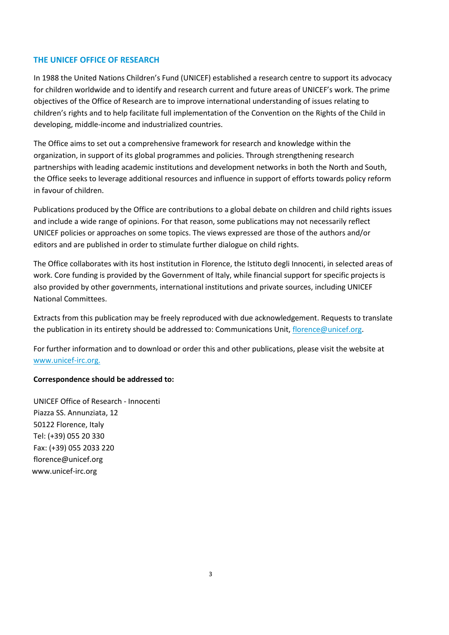### **THE UNICEF OFFICE OF RESEARCH**

In 1988 the United Nations Children's Fund (UNICEF) established a research centre to support its advocacy for children worldwide and to identify and research current and future areas of UNICEF's work. The prime objectives of the Office of Research are to improve international understanding of issues relating to children's rights and to help facilitate full implementation of the Convention on the Rights of the Child in developing, middle-income and industrialized countries.

The Office aims to set out a comprehensive framework for research and knowledge within the organization, in support of its global programmes and policies. Through strengthening research partnerships with leading academic institutions and development networks in both the North and South, the Office seeks to leverage additional resources and influence in support of efforts towards policy reform in favour of children.

Publications produced by the Office are contributions to a global debate on children and child rights issues and include a wide range of opinions. For that reason, some publications may not necessarily reflect UNICEF policies or approaches on some topics. The views expressed are those of the authors and/or editors and are published in order to stimulate further dialogue on child rights.

The Office collaborates with its host institution in Florence, the Istituto degli Innocenti, in selected areas of work. Core funding is provided by the Government of Italy, while financial support for specific projects is also provided by other governments, international institutions and private sources, including UNICEF National Committees.

Extracts from this publication may be freely reproduced with due acknowledgement. Requests to translate the publication in its entirety should be addressed to: Communications Unit, florence@unicef.org.

For further information and to download or order this and other publications, please visit the website at www.unicef-irc.org.

#### **Correspondence should be addressed to:**

UNICEF Office of Research - Innocenti Piazza SS. Annunziata, 12 50122 Florence, Italy Tel: (+39) 055 20 330 Fax: (+39) 055 2033 220 florence@unicef.org www.unicef-irc.org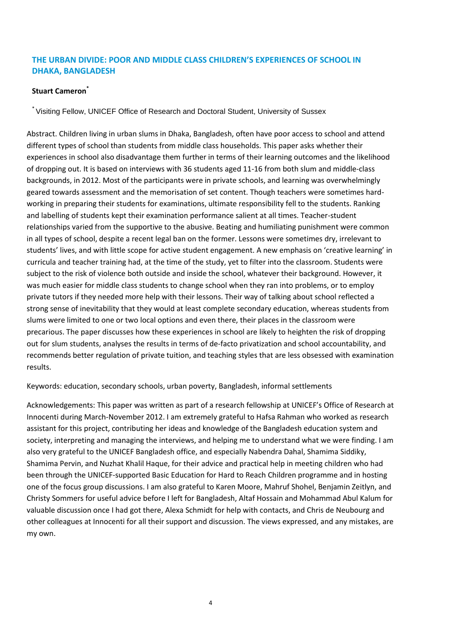# **THE URBAN DIVIDE: POOR AND MIDDLE CLASS CHILDREN'S EXPERIENCES OF SCHOOL IN DHAKA, BANGLADESH**

# **Stuart Cameron\***

\* Visiting Fellow, UNICEF Office of Research and Doctoral Student, University of Sussex

Abstract. Children living in urban slums in Dhaka, Bangladesh, often have poor access to school and attend different types of school than students from middle class households. This paper asks whether their experiences in school also disadvantage them further in terms of their learning outcomes and the likelihood of dropping out. It is based on interviews with 36 students aged 11-16 from both slum and middle-class backgrounds, in 2012. Most of the participants were in private schools, and learning was overwhelmingly geared towards assessment and the memorisation of set content. Though teachers were sometimes hardworking in preparing their students for examinations, ultimate responsibility fell to the students. Ranking and labelling of students kept their examination performance salient at all times. Teacher-student relationships varied from the supportive to the abusive. Beating and humiliating punishment were common in all types of school, despite a recent legal ban on the former. Lessons were sometimes dry, irrelevant to students' lives, and with little scope for active student engagement. A new emphasis on 'creative learning' in curricula and teacher training had, at the time of the study, yet to filter into the classroom. Students were subject to the risk of violence both outside and inside the school, whatever their background. However, it was much easier for middle class students to change school when they ran into problems, or to employ private tutors if they needed more help with their lessons. Their way of talking about school reflected a strong sense of inevitability that they would at least complete secondary education, whereas students from slums were limited to one or two local options and even there, their places in the classroom were precarious. The paper discusses how these experiences in school are likely to heighten the risk of dropping out for slum students, analyses the results in terms of de-facto privatization and school accountability, and recommends better regulation of private tuition, and teaching styles that are less obsessed with examination results.

Keywords: education, secondary schools, urban poverty, Bangladesh, informal settlements

Acknowledgements: This paper was written as part of a research fellowship at UNICEF's Office of Research at Innocenti during March-November 2012. I am extremely grateful to Hafsa Rahman who worked as research assistant for this project, contributing her ideas and knowledge of the Bangladesh education system and society, interpreting and managing the interviews, and helping me to understand what we were finding. I am also very grateful to the UNICEF Bangladesh office, and especially Nabendra Dahal, Shamima Siddiky, Shamima Pervin, and Nuzhat Khalil Haque, for their advice and practical help in meeting children who had been through the UNICEF-supported Basic Education for Hard to Reach Children programme and in hosting one of the focus group discussions. I am also grateful to Karen Moore, Mahruf Shohel, Benjamin Zeitlyn, and Christy Sommers for useful advice before I left for Bangladesh, Altaf Hossain and Mohammad Abul Kalum for valuable discussion once I had got there, Alexa Schmidt for help with contacts, and Chris de Neubourg and other colleagues at Innocenti for all their support and discussion. The views expressed, and any mistakes, are my own.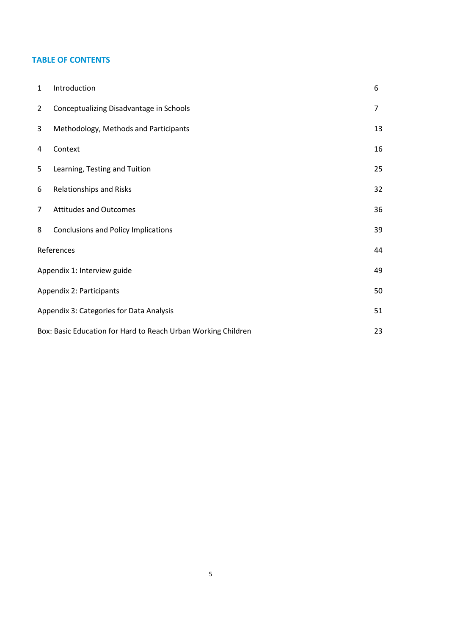# **TABLE OF CONTENTS**

| $\mathbf{1}$   | Introduction                                                  | 6              |  |
|----------------|---------------------------------------------------------------|----------------|--|
| $\overline{2}$ | Conceptualizing Disadvantage in Schools                       | $\overline{7}$ |  |
| 3              | Methodology, Methods and Participants                         | 13             |  |
| 4              | Context                                                       | 16             |  |
| 5              | Learning, Testing and Tuition                                 | 25             |  |
| 6              | Relationships and Risks                                       | 32             |  |
| $\overline{7}$ | <b>Attitudes and Outcomes</b>                                 | 36             |  |
| 8              | <b>Conclusions and Policy Implications</b>                    | 39             |  |
|                | References                                                    | 44             |  |
|                | Appendix 1: Interview guide                                   |                |  |
|                | Appendix 2: Participants                                      |                |  |
|                | Appendix 3: Categories for Data Analysis                      |                |  |
|                | Box: Basic Education for Hard to Reach Urban Working Children |                |  |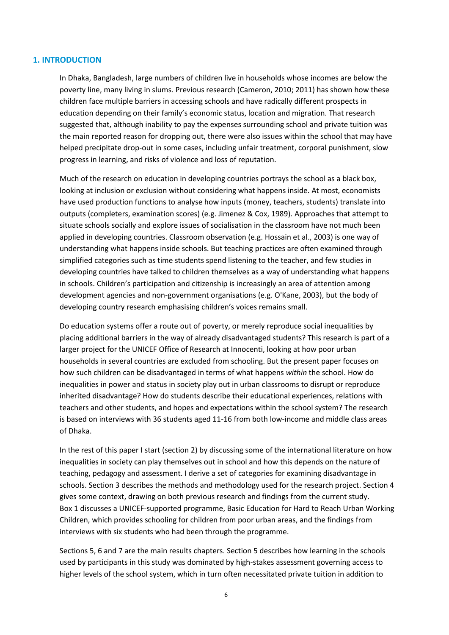#### **1. INTRODUCTION**

In Dhaka, Bangladesh, large numbers of children live in households whose incomes are below the poverty line, many living in slums. Previous research (Cameron, 2010; 2011) has shown how these children face multiple barriers in accessing schools and have radically different prospects in education depending on their family's economic status, location and migration. That research suggested that, although inability to pay the expenses surrounding school and private tuition was the main reported reason for dropping out, there were also issues within the school that may have helped precipitate drop-out in some cases, including unfair treatment, corporal punishment, slow progress in learning, and risks of violence and loss of reputation.

Much of the research on education in developing countries portrays the school as a black box, looking at inclusion or exclusion without considering what happens inside. At most, economists have used production functions to analyse how inputs (money, teachers, students) translate into outputs (completers, examination scores) (e.g. Jimenez & Cox, 1989). Approaches that attempt to situate schools socially and explore issues of socialisation in the classroom have not much been applied in developing countries. Classroom observation (e.g. Hossain et al., 2003) is one way of understanding what happens inside schools. But teaching practices are often examined through simplified categories such as time students spend listening to the teacher, and few studies in developing countries have talked to children themselves as a way of understanding what happens in schools. Children's participation and citizenship is increasingly an area of attention among development agencies and non-government organisations (e.g. O'Kane, 2003), but the body of developing country research emphasising children's voices remains small.

Do education systems offer a route out of poverty, or merely reproduce social inequalities by placing additional barriers in the way of already disadvantaged students? This research is part of a larger project for the UNICEF Office of Research at Innocenti, looking at how poor urban households in several countries are excluded from schooling. But the present paper focuses on how such children can be disadvantaged in terms of what happens *within* the school. How do inequalities in power and status in society play out in urban classrooms to disrupt or reproduce inherited disadvantage? How do students describe their educational experiences, relations with teachers and other students, and hopes and expectations within the school system? The research is based on interviews with 36 students aged 11-16 from both low-income and middle class areas of Dhaka.

In the rest of this paper I start (section 2) by discussing some of the international literature on how inequalities in society can play themselves out in school and how this depends on the nature of teaching, pedagogy and assessment. I derive a set of categories for examining disadvantage in schools. Section 3 describes the methods and methodology used for the research project. Section 4 gives some context, drawing on both previous research and findings from the current study[.](#page-22-0)  [Box](#page-22-0) 1 discusses a UNICEF-supported programme, Basic Education for Hard to Reach Urban Working Children, which provides schooling for children from poor urban areas, and the findings from interviews with six students who had been through the programme.

Sections 5, 6 and 7 are the main results chapters. Section 5 describes how learning in the schools used by participants in this study was dominated by high-stakes assessment governing access to higher levels of the school system, which in turn often necessitated private tuition in addition to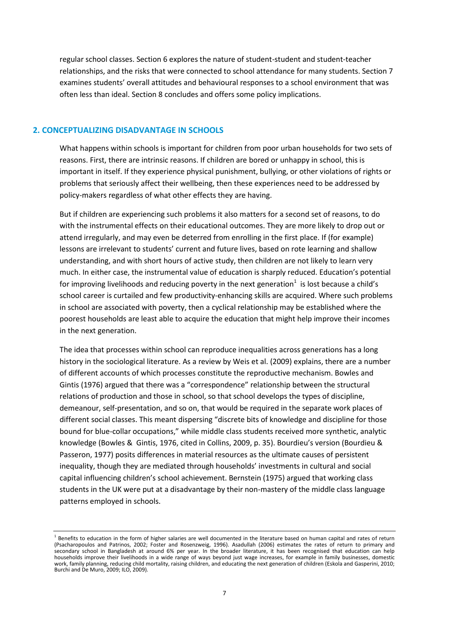regular school classes. Section 6 explores the nature of student-student and student-teacher relationships, and the risks that were connected to school attendance for many students. Section 7 examines students' overall attitudes and behavioural responses to a school environment that was often less than ideal. Section 8 concludes and offers some policy implications.

#### **2. CONCEPTUALIZING DISADVANTAGE IN SCHOOLS**

What happens within schools is important for children from poor urban households for two sets of reasons. First, there are intrinsic reasons. If children are bored or unhappy in school, this is important in itself. If they experience physical punishment, bullying, or other violations of rights or problems that seriously affect their wellbeing, then these experiences need to be addressed by policy-makers regardless of what other effects they are having.

But if children are experiencing such problems it also matters for a second set of reasons, to do with the instrumental effects on their educational outcomes. They are more likely to drop out or attend irregularly, and may even be deterred from enrolling in the first place. If (for example) lessons are irrelevant to students' current and future lives, based on rote learning and shallow understanding, and with short hours of active study, then children are not likely to learn very much. In either case, the instrumental value of education is sharply reduced. Education's potential for improving livelihoods and reducing poverty in the next generation<sup>1</sup> is lost because a child's school career is curtailed and few productivity-enhancing skills are acquired. Where such problems in school are associated with poverty, then a cyclical relationship may be established where the poorest households are least able to acquire the education that might help improve their incomes in the next generation.

The idea that processes within school can reproduce inequalities across generations has a long history in the sociological literature. As a review by Weis et al. (2009) explains, there are a number of different accounts of which processes constitute the reproductive mechanism. Bowles and Gintis (1976) argued that there was a "correspondence" relationship between the structural relations of production and those in school, so that school develops the types of discipline, demeanour, self-presentation, and so on, that would be required in the separate work places of different social classes. This meant dispersing "discrete bits of knowledge and discipline for those bound for blue-collar occupations," while middle class students received more synthetic, analytic knowledge (Bowles & Gintis, 1976, cited in Collins, 2009, p. 35). Bourdieu's version (Bourdieu & Passeron, 1977) posits differences in material resources as the ultimate causes of persistent inequality, though they are mediated through households' investments in cultural and social capital influencing children's school achievement. Bernstein (1975) argued that working class students in the UK were put at a disadvantage by their non-mastery of the middle class language patterns employed in schools.

 $<sup>1</sup>$  Benefits to education in the form of higher salaries are well documented in the literature based on human capital and rates of return</sup> (Psacharopoulos and Patrinos, 2002; Foster and Rosenzweig, 1996). Asadullah (2006) estimates the rates of return to primary and secondary school in Bangladesh at around 6% per year. In the broader literature, it has been recognised that education can help households improve their livelihoods in a wide range of ways beyond just wage increases, for example in family businesses, domestic work, family planning, reducing child mortality, raising children, and educating the next generation of children (Eskola and Gasperini, 2010; Burchi and De Muro, 2009; ILO, 2009).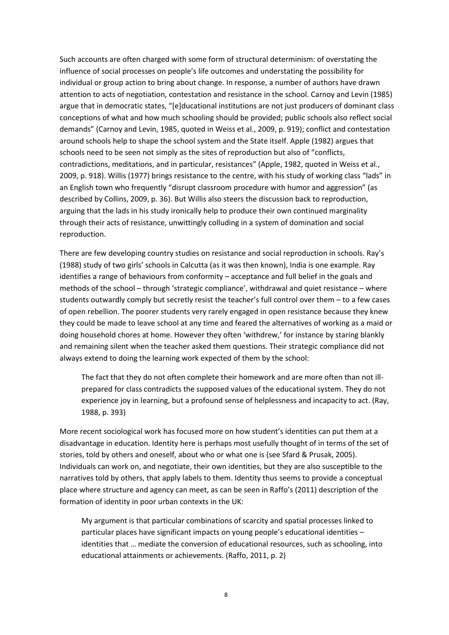Such accounts are often charged with some form of structural determinism: of overstating the influence of social processes on people's life outcomes and understating the possibility for individual or group action to bring about change. In response, a number of authors have drawn attention to acts of negotiation, contestation and resistance in the school. Carnoy and Levin (1985) argue that in democratic states, "[e]ducational institutions are not just producers of dominant class conceptions of what and how much schooling should be provided; public schools also reflect social demands" (Carnoy and Levin, 1985, quoted in Weiss et al., 2009, p. 919); conflict and contestation around schools help to shape the school system and the State itself. Apple (1982) argues that schools need to be seen not simply as the sites of reproduction but also of "conflicts, contradictions, meditations, and in particular, resistances" (Apple, 1982, quoted in Weiss et al., 2009, p. 918). Willis (1977) brings resistance to the centre, with his study of working class "lads" in an English town who frequently "disrupt classroom procedure with humor and aggression" (as described by Collins, 2009, p. 36). But Willis also steers the discussion back to reproduction, arguing that the lads in his study ironically help to produce their own continued marginality through their acts of resistance, unwittingly colluding in a system of domination and social reproduction.

There are few developing country studies on resistance and social reproduction in schools. Ray's (1988) study of two girls' schools in Calcutta (as it was then known), India is one example. Ray identifies a range of behaviours from conformity – acceptance and full belief in the goals and methods of the school – through 'strategic compliance', withdrawal and quiet resistance – where students outwardly comply but secretly resist the teacher's full control over them – to a few cases of open rebellion. The poorer students very rarely engaged in open resistance because they knew they could be made to leave school at any time and feared the alternatives of working as a maid or doing household chores at home. However they often 'withdrew,' for instance by staring blankly and remaining silent when the teacher asked them questions. Their strategic compliance did not always extend to doing the learning work expected of them by the school:

The fact that they do not often complete their homework and are more often than not illprepared for class contradicts the supposed values of the educational system. They do not experience joy in learning, but a profound sense of helplessness and incapacity to act. (Ray, 1988, p. 393)

More recent sociological work has focused more on how student's identities can put them at a disadvantage in education. Identity here is perhaps most usefully thought of in terms of the set of stories, told by others and oneself, about who or what one is (see Sfard & Prusak, 2005). Individuals can work on, and negotiate, their own identities, but they are also susceptible to the narratives told by others, that apply labels to them. Identity thus seems to provide a conceptual place where structure and agency can meet, as can be seen in Raffo's (2011) description of the formation of identity in poor urban contexts in the UK:

My argument is that particular combinations of scarcity and spatial processes linked to particular places have significant impacts on young people's educational identities – identities that … mediate the conversion of educational resources, such as schooling, into educational attainments or achievements. (Raffo, 2011, p. 2)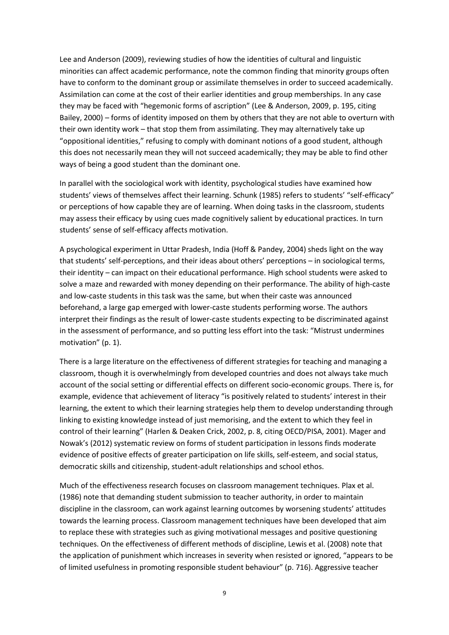Lee and Anderson (2009), reviewing studies of how the identities of cultural and linguistic minorities can affect academic performance, note the common finding that minority groups often have to conform to the dominant group or assimilate themselves in order to succeed academically. Assimilation can come at the cost of their earlier identities and group memberships. In any case they may be faced with "hegemonic forms of ascription" (Lee & Anderson, 2009, p. 195, citing Bailey, 2000) – forms of identity imposed on them by others that they are not able to overturn with their own identity work – that stop them from assimilating. They may alternatively take up "oppositional identities," refusing to comply with dominant notions of a good student, although this does not necessarily mean they will not succeed academically; they may be able to find other ways of being a good student than the dominant one.

In parallel with the sociological work with identity, psychological studies have examined how students' views of themselves affect their learning. Schunk (1985) refers to students' "self-efficacy" or perceptions of how capable they are of learning. When doing tasks in the classroom, students may assess their efficacy by using cues made cognitively salient by educational practices. In turn students' sense of self-efficacy affects motivation.

A psychological experiment in Uttar Pradesh, India (Hoff & Pandey, 2004) sheds light on the way that students' self-perceptions, and their ideas about others' perceptions – in sociological terms, their identity – can impact on their educational performance. High school students were asked to solve a maze and rewarded with money depending on their performance. The ability of high-caste and low-caste students in this task was the same, but when their caste was announced beforehand, a large gap emerged with lower-caste students performing worse. The authors interpret their findings as the result of lower-caste students expecting to be discriminated against in the assessment of performance, and so putting less effort into the task: "Mistrust undermines motivation" (p. 1).

There is a large literature on the effectiveness of different strategies for teaching and managing a classroom, though it is overwhelmingly from developed countries and does not always take much account of the social setting or differential effects on different socio-economic groups. There is, for example, evidence that achievement of literacy "is positively related to students' interest in their learning, the extent to which their learning strategies help them to develop understanding through linking to existing knowledge instead of just memorising, and the extent to which they feel in control of their learning" (Harlen & Deaken Crick, 2002, p. 8, citing OECD/PISA, 2001). Mager and Nowak's (2012) systematic review on forms of student participation in lessons finds moderate evidence of positive effects of greater participation on life skills, self-esteem, and social status, democratic skills and citizenship, student-adult relationships and school ethos.

Much of the effectiveness research focuses on classroom management techniques. Plax et al. (1986) note that demanding student submission to teacher authority, in order to maintain discipline in the classroom, can work against learning outcomes by worsening students' attitudes towards the learning process. Classroom management techniques have been developed that aim to replace these with strategies such as giving motivational messages and positive questioning techniques. On the effectiveness of different methods of discipline, Lewis et al. (2008) note that the application of punishment which increases in severity when resisted or ignored, "appears to be of limited usefulness in promoting responsible student behaviour" (p. 716). Aggressive teacher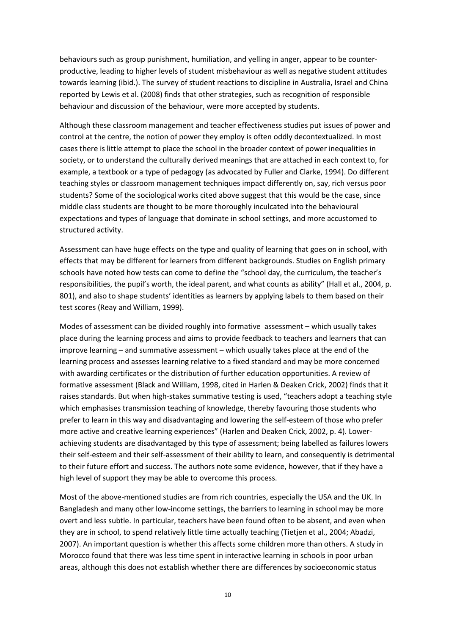behaviours such as group punishment, humiliation, and yelling in anger, appear to be counterproductive, leading to higher levels of student misbehaviour as well as negative student attitudes towards learning (ibid.). The survey of student reactions to discipline in Australia, Israel and China reported by Lewis et al. (2008) finds that other strategies, such as recognition of responsible behaviour and discussion of the behaviour, were more accepted by students.

Although these classroom management and teacher effectiveness studies put issues of power and control at the centre, the notion of power they employ is often oddly decontextualized. In most cases there is little attempt to place the school in the broader context of power inequalities in society, or to understand the culturally derived meanings that are attached in each context to, for example, a textbook or a type of pedagogy (as advocated by Fuller and Clarke, 1994). Do different teaching styles or classroom management techniques impact differently on, say, rich versus poor students? Some of the sociological works cited above suggest that this would be the case, since middle class students are thought to be more thoroughly inculcated into the behavioural expectations and types of language that dominate in school settings, and more accustomed to structured activity.

Assessment can have huge effects on the type and quality of learning that goes on in school, with effects that may be different for learners from different backgrounds. Studies on English primary schools have noted how tests can come to define the "school day, the curriculum, the teacher's responsibilities, the pupil's worth, the ideal parent, and what counts as ability" (Hall et al., 2004, p. 801), and also to shape students' identities as learners by applying labels to them based on their test scores (Reay and William, 1999).

Modes of assessment can be divided roughly into formative assessment – which usually takes place during the learning process and aims to provide feedback to teachers and learners that can improve learning – and summative assessment – which usually takes place at the end of the learning process and assesses learning relative to a fixed standard and may be more concerned with awarding certificates or the distribution of further education opportunities. A review of formative assessment (Black and William, 1998, cited in Harlen & Deaken Crick, 2002) finds that it raises standards. But when high-stakes summative testing is used, "teachers adopt a teaching style which emphasises transmission teaching of knowledge, thereby favouring those students who prefer to learn in this way and disadvantaging and lowering the self-esteem of those who prefer more active and creative learning experiences" (Harlen and Deaken Crick, 2002, p. 4). Lowerachieving students are disadvantaged by this type of assessment; being labelled as failures lowers their self-esteem and their self-assessment of their ability to learn, and consequently is detrimental to their future effort and success. The authors note some evidence, however, that if they have a high level of support they may be able to overcome this process.

Most of the above-mentioned studies are from rich countries, especially the USA and the UK. In Bangladesh and many other low-income settings, the barriers to learning in school may be more overt and less subtle. In particular, teachers have been found often to be absent, and even when they are in school, to spend relatively little time actually teaching (Tietjen et al., 2004; Abadzi, 2007). An important question is whether this affects some children more than others. A study in Morocco found that there was less time spent in interactive learning in schools in poor urban areas, although this does not establish whether there are differences by socioeconomic status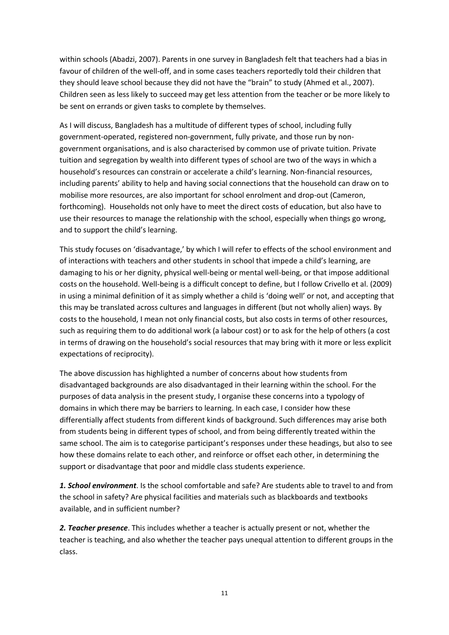within schools (Abadzi, 2007). Parents in one survey in Bangladesh felt that teachers had a bias in favour of children of the well-off, and in some cases teachers reportedly told their children that they should leave school because they did not have the "brain" to study (Ahmed et al., 2007). Children seen as less likely to succeed may get less attention from the teacher or be more likely to be sent on errands or given tasks to complete by themselves.

As I will discuss, Bangladesh has a multitude of different types of school, including fully government-operated, registered non-government, fully private, and those run by nongovernment organisations, and is also characterised by common use of private tuition. Private tuition and segregation by wealth into different types of school are two of the ways in which a household's resources can constrain or accelerate a child's learning. Non-financial resources, including parents' ability to help and having social connections that the household can draw on to mobilise more resources, are also important for school enrolment and drop-out (Cameron, forthcoming). Households not only have to meet the direct costs of education, but also have to use their resources to manage the relationship with the school, especially when things go wrong, and to support the child's learning.

This study focuses on 'disadvantage,' by which I will refer to effects of the school environment and of interactions with teachers and other students in school that impede a child's learning, are damaging to his or her dignity, physical well-being or mental well-being, or that impose additional costs on the household. Well-being is a difficult concept to define, but I follow Crivello et al. (2009) in using a minimal definition of it as simply whether a child is 'doing well' or not, and accepting that this may be translated across cultures and languages in different (but not wholly alien) ways. By costs to the household, I mean not only financial costs, but also costs in terms of other resources, such as requiring them to do additional work (a labour cost) or to ask for the help of others (a cost in terms of drawing on the household's social resources that may bring with it more or less explicit expectations of reciprocity).

The above discussion has highlighted a number of concerns about how students from disadvantaged backgrounds are also disadvantaged in their learning within the school. For the purposes of data analysis in the present study, I organise these concerns into a typology of domains in which there may be barriers to learning. In each case, I consider how these differentially affect students from different kinds of background. Such differences may arise both from students being in different types of school, and from being differently treated within the same school. The aim is to categorise participant's responses under these headings, but also to see how these domains relate to each other, and reinforce or offset each other, in determining the support or disadvantage that poor and middle class students experience.

*1. School environment*. Is the school comfortable and safe? Are students able to travel to and from the school in safety? Are physical facilities and materials such as blackboards and textbooks available, and in sufficient number?

*2. Teacher presence*. This includes whether a teacher is actually present or not, whether the teacher is teaching, and also whether the teacher pays unequal attention to different groups in the class.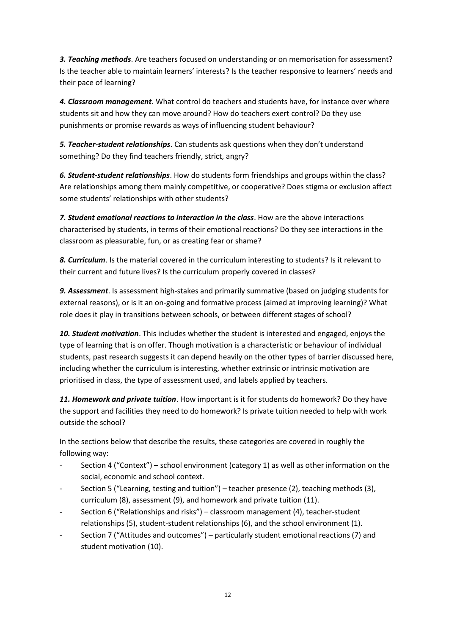*3. Teaching methods*. Are teachers focused on understanding or on memorisation for assessment? Is the teacher able to maintain learners' interests? Is the teacher responsive to learners' needs and their pace of learning?

*4. Classroom management*. What control do teachers and students have, for instance over where students sit and how they can move around? How do teachers exert control? Do they use punishments or promise rewards as ways of influencing student behaviour?

*5. Teacher-student relationships*. Can students ask questions when they don't understand something? Do they find teachers friendly, strict, angry?

*6. Student-student relationships*. How do students form friendships and groups within the class? Are relationships among them mainly competitive, or cooperative? Does stigma or exclusion affect some students' relationships with other students?

*7. Student emotional reactions to interaction in the class*. How are the above interactions characterised by students, in terms of their emotional reactions? Do they see interactions in the classroom as pleasurable, fun, or as creating fear or shame?

*8. Curriculum*. Is the material covered in the curriculum interesting to students? Is it relevant to their current and future lives? Is the curriculum properly covered in classes?

*9. Assessment*. Is assessment high-stakes and primarily summative (based on judging students for external reasons), or is it an on-going and formative process (aimed at improving learning)? What role does it play in transitions between schools, or between different stages of school?

*10. Student motivation*. This includes whether the student is interested and engaged, enjoys the type of learning that is on offer. Though motivation is a characteristic or behaviour of individual students, past research suggests it can depend heavily on the other types of barrier discussed here, including whether the curriculum is interesting, whether extrinsic or intrinsic motivation are prioritised in class, the type of assessment used, and labels applied by teachers.

*11. Homework and private tuition*. How important is it for students do homework? Do they have the support and facilities they need to do homework? Is private tuition needed to help with work outside the school?

In the sections below that describe the results, these categories are covered in roughly the following way:

- Section 4 ("Context") school environment (category 1) as well as other information on the social, economic and school context.
- Section 5 ("Learning, testing and tuition") teacher presence (2), teaching methods (3), curriculum (8), assessment (9), and homework and private tuition (11).
- Section 6 ("Relationships and risks") classroom management (4), teacher-student relationships (5), student-student relationships (6), and the school environment (1).
- Section 7 ("Attitudes and outcomes") particularly student emotional reactions (7) and student motivation (10).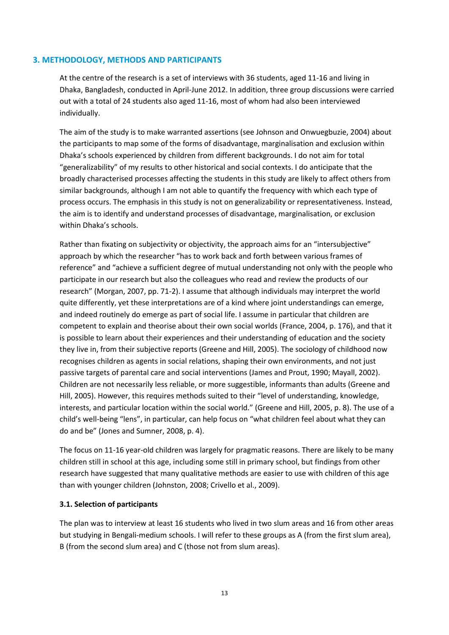# **3. METHODOLOGY, METHODS AND PARTICIPANTS**

At the centre of the research is a set of interviews with 36 students, aged 11-16 and living in Dhaka, Bangladesh, conducted in April-June 2012. In addition, three group discussions were carried out with a total of 24 students also aged 11-16, most of whom had also been interviewed individually.

The aim of the study is to make warranted assertions (see Johnson and Onwuegbuzie, 2004) about the participants to map some of the forms of disadvantage, marginalisation and exclusion within Dhaka's schools experienced by children from different backgrounds. I do not aim for total "generalizability" of my results to other historical and social contexts. I do anticipate that the broadly characterised processes affecting the students in this study are likely to affect others from similar backgrounds, although I am not able to quantify the frequency with which each type of process occurs. The emphasis in this study is not on generalizability or representativeness. Instead, the aim is to identify and understand processes of disadvantage, marginalisation, or exclusion within Dhaka's schools.

Rather than fixating on subjectivity or objectivity, the approach aims for an "intersubjective" approach by which the researcher "has to work back and forth between various frames of reference" and "achieve a sufficient degree of mutual understanding not only with the people who participate in our research but also the colleagues who read and review the products of our research" (Morgan, 2007, pp. 71-2). I assume that although individuals may interpret the world quite differently, yet these interpretations are of a kind where joint understandings can emerge, and indeed routinely do emerge as part of social life. I assume in particular that children are competent to explain and theorise about their own social worlds (France, 2004, p. 176), and that it is possible to learn about their experiences and their understanding of education and the society they live in, from their subjective reports (Greene and Hill, 2005). The sociology of childhood now recognises children as agents in social relations, shaping their own environments, and not just passive targets of parental care and social interventions (James and Prout, 1990; Mayall, 2002). Children are not necessarily less reliable, or more suggestible, informants than adults (Greene and Hill, 2005). However, this requires methods suited to their "level of understanding, knowledge, interests, and particular location within the social world." (Greene and Hill, 2005, p. 8). The use of a child's well-being "lens", in particular, can help focus on "what children feel about what they can do and be" (Jones and Sumner, 2008, p. 4).

The focus on 11-16 year-old children was largely for pragmatic reasons. There are likely to be many children still in school at this age, including some still in primary school, but findings from other research have suggested that many qualitative methods are easier to use with children of this age than with younger children (Johnston, 2008; Crivello et al., 2009).

#### **3.1. Selection of participants**

The plan was to interview at least 16 students who lived in two slum areas and 16 from other areas but studying in Bengali-medium schools. I will refer to these groups as A (from the first slum area), B (from the second slum area) and C (those not from slum areas).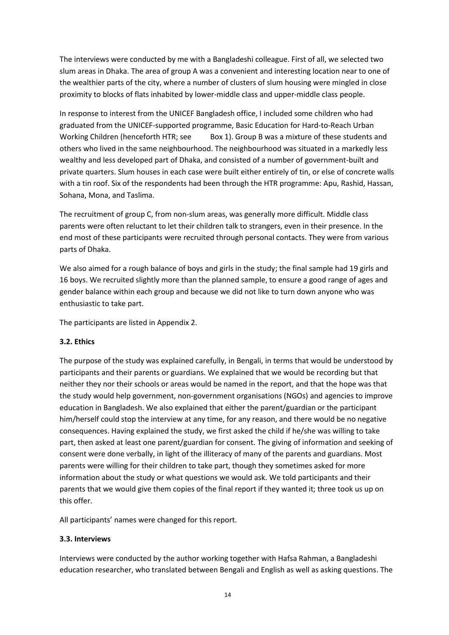The interviews were conducted by me with a Bangladeshi colleague. First of all, we selected two slum areas in Dhaka. The area of group A was a convenient and interesting location near to one of the wealthier parts of the city, where a number of clusters of slum housing were mingled in close proximity to blocks of flats inhabited by lower-middle class and upper-middle class people.

In response to interest from the UNICEF Bangladesh office, I included some children who had graduated from the UNICEF-supported programme, Basic Education for Hard-to-Reach Urban Working Children (henceforth HTR; see [Box](#page-22-0) 1). Group B was a mixture of these students and others who lived in the same neighbourhood. The neighbourhood was situated in a markedly less wealthy and less developed part of Dhaka, and consisted of a number of government-built and private quarters. Slum houses in each case were built either entirely of tin, or else of concrete walls with a tin roof. Six of the respondents had been through the HTR programme: Apu, Rashid, Hassan, Sohana, Mona, and Taslima.

The recruitment of group C, from non-slum areas, was generally more difficult. Middle class parents were often reluctant to let their children talk to strangers, even in their presence. In the end most of these participants were recruited through personal contacts. They were from various parts of Dhaka.

We also aimed for a rough balance of boys and girls in the study; the final sample had 19 girls and 16 boys. We recruited slightly more than the planned sample, to ensure a good range of ages and gender balance within each group and because we did not like to turn down anyone who was enthusiastic to take part.

The participants are listed in Appendix 2.

# **3.2. Ethics**

The purpose of the study was explained carefully, in Bengali, in terms that would be understood by participants and their parents or guardians. We explained that we would be recording but that neither they nor their schools or areas would be named in the report, and that the hope was that the study would help government, non-government organisations (NGOs) and agencies to improve education in Bangladesh. We also explained that either the parent/guardian or the participant him/herself could stop the interview at any time, for any reason, and there would be no negative consequences. Having explained the study, we first asked the child if he/she was willing to take part, then asked at least one parent/guardian for consent. The giving of information and seeking of consent were done verbally, in light of the illiteracy of many of the parents and guardians. Most parents were willing for their children to take part, though they sometimes asked for more information about the study or what questions we would ask. We told participants and their parents that we would give them copies of the final report if they wanted it; three took us up on this offer.

All participants' names were changed for this report.

#### **3.3. Interviews**

Interviews were conducted by the author working together with Hafsa Rahman, a Bangladeshi education researcher, who translated between Bengali and English as well as asking questions. The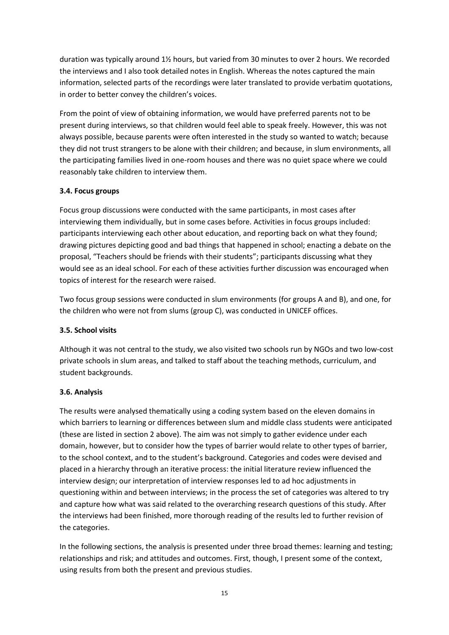duration was typically around 1½ hours, but varied from 30 minutes to over 2 hours. We recorded the interviews and I also took detailed notes in English. Whereas the notes captured the main information, selected parts of the recordings were later translated to provide verbatim quotations, in order to better convey the children's voices.

From the point of view of obtaining information, we would have preferred parents not to be present during interviews, so that children would feel able to speak freely. However, this was not always possible, because parents were often interested in the study so wanted to watch; because they did not trust strangers to be alone with their children; and because, in slum environments, all the participating families lived in one-room houses and there was no quiet space where we could reasonably take children to interview them.

# **3.4. Focus groups**

Focus group discussions were conducted with the same participants, in most cases after interviewing them individually, but in some cases before. Activities in focus groups included: participants interviewing each other about education, and reporting back on what they found; drawing pictures depicting good and bad things that happened in school; enacting a debate on the proposal, "Teachers should be friends with their students"; participants discussing what they would see as an ideal school. For each of these activities further discussion was encouraged when topics of interest for the research were raised.

Two focus group sessions were conducted in slum environments (for groups A and B), and one, for the children who were not from slums (group C), was conducted in UNICEF offices.

# **3.5. School visits**

Although it was not central to the study, we also visited two schools run by NGOs and two low-cost private schools in slum areas, and talked to staff about the teaching methods, curriculum, and student backgrounds.

# **3.6. Analysis**

The results were analysed thematically using a coding system based on the eleven domains in which barriers to learning or differences between slum and middle class students were anticipated (these are listed in section 2 above). The aim was not simply to gather evidence under each domain, however, but to consider how the types of barrier would relate to other types of barrier, to the school context, and to the student's background. Categories and codes were devised and placed in a hierarchy through an iterative process: the initial literature review influenced the interview design; our interpretation of interview responses led to ad hoc adjustments in questioning within and between interviews; in the process the set of categories was altered to try and capture how what was said related to the overarching research questions of this study. After the interviews had been finished, more thorough reading of the results led to further revision of the categories.

In the following sections, the analysis is presented under three broad themes: learning and testing; relationships and risk; and attitudes and outcomes. First, though, I present some of the context, using results from both the present and previous studies.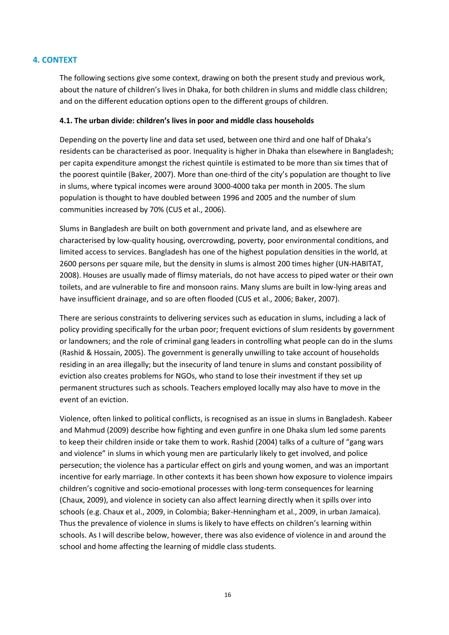# **4. CONTEXT**

The following sections give some context, drawing on both the present study and previous work, about the nature of children's lives in Dhaka, for both children in slums and middle class children; and on the different education options open to the different groups of children.

#### **4.1. The urban divide: children's lives in poor and middle class households**

Depending on the poverty line and data set used, between one third and one half of Dhaka's residents can be characterised as poor. Inequality is higher in Dhaka than elsewhere in Bangladesh; per capita expenditure amongst the richest quintile is estimated to be more than six times that of the poorest quintile (Baker, 2007). More than one-third of the city's population are thought to live in slums, where typical incomes were around 3000-4000 taka per month in 2005. The slum population is thought to have doubled between 1996 and 2005 and the number of slum communities increased by 70% (CUS et al., 2006).

Slums in Bangladesh are built on both government and private land, and as elsewhere are characterised by low-quality housing, overcrowding, poverty, poor environmental conditions, and limited access to services. Bangladesh has one of the highest population densities in the world, at 2600 persons per square mile, but the density in slums is almost 200 times higher (UN-HABITAT, 2008). Houses are usually made of flimsy materials, do not have access to piped water or their own toilets, and are vulnerable to fire and monsoon rains. Many slums are built in low-lying areas and have insufficient drainage, and so are often flooded (CUS et al., 2006; Baker, 2007).

There are serious constraints to delivering services such as education in slums, including a lack of policy providing specifically for the urban poor; frequent evictions of slum residents by government or landowners; and the role of criminal gang leaders in controlling what people can do in the slums (Rashid & Hossain, 2005). The government is generally unwilling to take account of households residing in an area illegally; but the insecurity of land tenure in slums and constant possibility of eviction also creates problems for NGOs, who stand to lose their investment if they set up permanent structures such as schools. Teachers employed locally may also have to move in the event of an eviction.

Violence, often linked to political conflicts, is recognised as an issue in slums in Bangladesh. Kabeer and Mahmud (2009) describe how fighting and even gunfire in one Dhaka slum led some parents to keep their children inside or take them to work. Rashid (2004) talks of a culture of "gang wars and violence" in slums in which young men are particularly likely to get involved, and police persecution; the violence has a particular effect on girls and young women, and was an important incentive for early marriage. In other contexts it has been shown how exposure to violence impairs children's cognitive and socio-emotional processes with long-term consequences for learning (Chaux, 2009), and violence in society can also affect learning directly when it spills over into schools (e.g. Chaux et al., 2009, in Colombia; Baker-Henningham et al., 2009, in urban Jamaica). Thus the prevalence of violence in slums is likely to have effects on children's learning within schools. As I will describe below, however, there was also evidence of violence in and around the school and home affecting the learning of middle class students.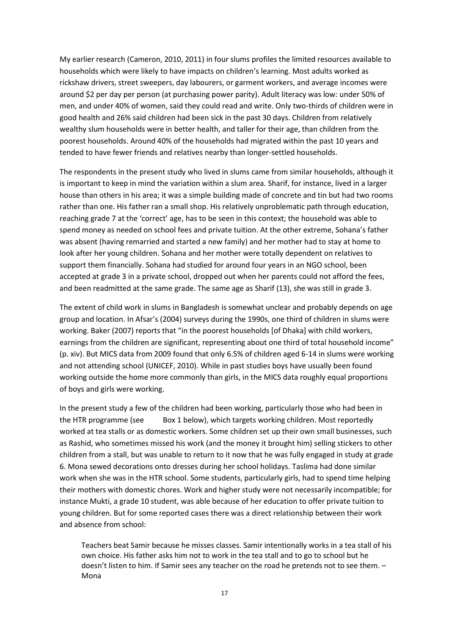My earlier research (Cameron, 2010, 2011) in four slums profiles the limited resources available to households which were likely to have impacts on children's learning. Most adults worked as rickshaw drivers, street sweepers, day labourers, or garment workers, and average incomes were around \$2 per day per person (at purchasing power parity). Adult literacy was low: under 50% of men, and under 40% of women, said they could read and write. Only two-thirds of children were in good health and 26% said children had been sick in the past 30 days. Children from relatively wealthy slum households were in better health, and taller for their age, than children from the poorest households. Around 40% of the households had migrated within the past 10 years and tended to have fewer friends and relatives nearby than longer-settled households.

The respondents in the present study who lived in slums came from similar households, although it is important to keep in mind the variation within a slum area. Sharif, for instance, lived in a larger house than others in his area; it was a simple building made of concrete and tin but had two rooms rather than one. His father ran a small shop. His relatively unproblematic path through education, reaching grade 7 at the 'correct' age, has to be seen in this context; the household was able to spend money as needed on school fees and private tuition. At the other extreme, Sohana's father was absent (having remarried and started a new family) and her mother had to stay at home to look after her young children. Sohana and her mother were totally dependent on relatives to support them financially. Sohana had studied for around four years in an NGO school, been accepted at grade 3 in a private school, dropped out when her parents could not afford the fees, and been readmitted at the same grade. The same age as Sharif (13), she was still in grade 3.

The extent of child work in slums in Bangladesh is somewhat unclear and probably depends on age group and location. In Afsar's (2004) surveys during the 1990s, one third of children in slums were working. Baker (2007) reports that "in the poorest households [of Dhaka] with child workers, earnings from the children are significant, representing about one third of total household income" (p. xiv). But MICS data from 2009 found that only 6.5% of children aged 6-14 in slums were working and not attending school (UNICEF, 2010). While in past studies boys have usually been found working outside the home more commonly than girls, in the MICS data roughly equal proportions of boys and girls were working.

In the present study a few of the children had been working, particularly those who had been in the HTR programme (se[e Box 1](#page-22-0) [below\)](#page-22-0), which targets working children. Most reportedly worked at tea stalls or as domestic workers. Some children set up their own small businesses, such as Rashid, who sometimes missed his work (and the money it brought him) selling stickers to other children from a stall, but was unable to return to it now that he was fully engaged in study at grade 6. Mona sewed decorations onto dresses during her school holidays. Taslima had done similar work when she was in the HTR school. Some students, particularly girls, had to spend time helping their mothers with domestic chores. Work and higher study were not necessarily incompatible; for instance Mukti, a grade 10 student, was able because of her education to offer private tuition to young children. But for some reported cases there was a direct relationship between their work and absence from school:

Teachers beat Samir because he misses classes. Samir intentionally works in a tea stall of his own choice. His father asks him not to work in the tea stall and to go to school but he doesn't listen to him. If Samir sees any teacher on the road he pretends not to see them. – Mona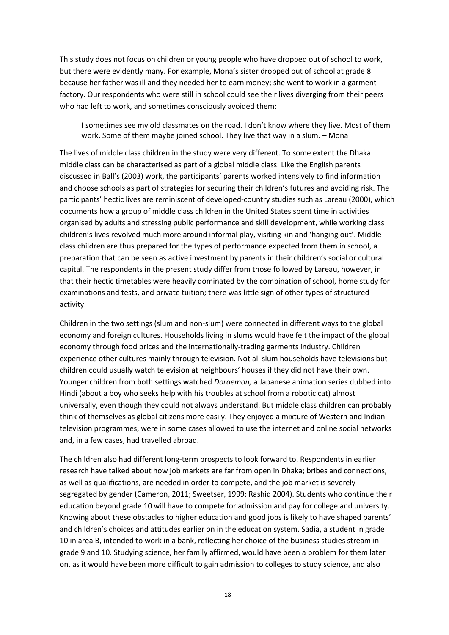This study does not focus on children or young people who have dropped out of school to work, but there were evidently many. For example, Mona's sister dropped out of school at grade 8 because her father was ill and they needed her to earn money; she went to work in a garment factory. Our respondents who were still in school could see their lives diverging from their peers who had left to work, and sometimes consciously avoided them:

I sometimes see my old classmates on the road. I don't know where they live. Most of them work. Some of them maybe joined school. They live that way in a slum. – Mona

The lives of middle class children in the study were very different. To some extent the Dhaka middle class can be characterised as part of a global middle class. Like the English parents discussed in Ball's (2003) work, the participants' parents worked intensively to find information and choose schools as part of strategies for securing their children's futures and avoiding risk. The participants' hectic lives are reminiscent of developed-country studies such as Lareau (2000), which documents how a group of middle class children in the United States spent time in activities organised by adults and stressing public performance and skill development, while working class children's lives revolved much more around informal play, visiting kin and 'hanging out'. Middle class children are thus prepared for the types of performance expected from them in school, a preparation that can be seen as active investment by parents in their children's social or cultural capital. The respondents in the present study differ from those followed by Lareau, however, in that their hectic timetables were heavily dominated by the combination of school, home study for examinations and tests, and private tuition; there was little sign of other types of structured activity.

Children in the two settings (slum and non-slum) were connected in different ways to the global economy and foreign cultures. Households living in slums would have felt the impact of the global economy through food prices and the internationally-trading garments industry. Children experience other cultures mainly through television. Not all slum households have televisions but children could usually watch television at neighbours' houses if they did not have their own. Younger children from both settings watched *Doraemon,* a Japanese animation series dubbed into Hindi (about a boy who seeks help with his troubles at school from a robotic cat) almost universally, even though they could not always understand. But middle class children can probably think of themselves as global citizens more easily. They enjoyed a mixture of Western and Indian television programmes, were in some cases allowed to use the internet and online social networks and, in a few cases, had travelled abroad.

The children also had different long-term prospects to look forward to. Respondents in earlier research have talked about how job markets are far from open in Dhaka; bribes and connections, as well as qualifications, are needed in order to compete, and the job market is severely segregated by gender (Cameron, 2011; Sweetser, 1999; Rashid 2004). Students who continue their education beyond grade 10 will have to compete for admission and pay for college and university. Knowing about these obstacles to higher education and good jobs is likely to have shaped parents' and children's choices and attitudes earlier on in the education system. Sadia, a student in grade 10 in area B, intended to work in a bank, reflecting her choice of the business studies stream in grade 9 and 10. Studying science, her family affirmed, would have been a problem for them later on, as it would have been more difficult to gain admission to colleges to study science, and also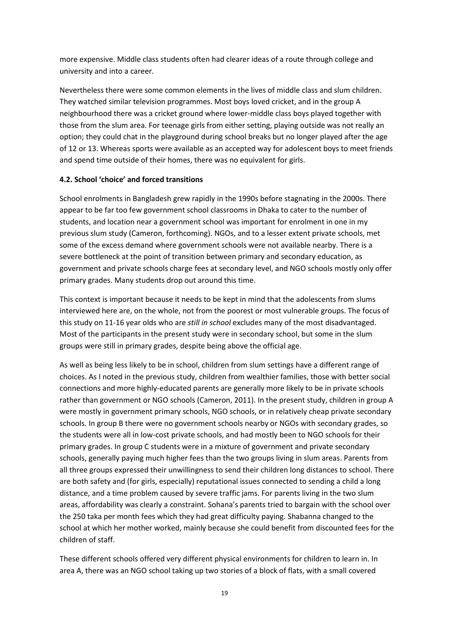more expensive. Middle class students often had clearer ideas of a route through college and university and into a career.

Nevertheless there were some common elements in the lives of middle class and slum children. They watched similar television programmes. Most boys loved cricket, and in the group A neighbourhood there was a cricket ground where lower-middle class boys played together with those from the slum area. For teenage girls from either setting, playing outside was not really an option; they could chat in the playground during school breaks but no longer played after the age of 12 or 13. Whereas sports were available as an accepted way for adolescent boys to meet friends and spend time outside of their homes, there was no equivalent for girls.

### **4.2. School 'choice' and forced transitions**

School enrolments in Bangladesh grew rapidly in the 1990s before stagnating in the 2000s. There appear to be far too few government school classrooms in Dhaka to cater to the number of students, and location near a government school was important for enrolment in one in my previous slum study (Cameron, forthcoming). NGOs, and to a lesser extent private schools, met some of the excess demand where government schools were not available nearby. There is a severe bottleneck at the point of transition between primary and secondary education, as government and private schools charge fees at secondary level, and NGO schools mostly only offer primary grades. Many students drop out around this time.

This context is important because it needs to be kept in mind that the adolescents from slums interviewed here are, on the whole, not from the poorest or most vulnerable groups. The focus of this study on 11-16 year olds who are *still in school* excludes many of the most disadvantaged. Most of the participants in the present study were in secondary school, but some in the slum groups were still in primary grades, despite being above the official age.

As well as being less likely to be in school, children from slum settings have a different range of choices. As I noted in the previous study, children from wealthier families, those with better social connections and more highly-educated parents are generally more likely to be in private schools rather than government or NGO schools (Cameron, 2011). In the present study, children in group A were mostly in government primary schools, NGO schools, or in relatively cheap private secondary schools. In group B there were no government schools nearby or NGOs with secondary grades, so the students were all in low-cost private schools, and had mostly been to NGO schools for their primary grades. In group C students were in a mixture of government and private secondary schools, generally paying much higher fees than the two groups living in slum areas. Parents from all three groups expressed their unwillingness to send their children long distances to school. There are both safety and (for girls, especially) reputational issues connected to sending a child a long distance, and a time problem caused by severe traffic jams. For parents living in the two slum areas, affordability was clearly a constraint. Sohana's parents tried to bargain with the school over the 250 taka per month fees which they had great difficulty paying. Shabanna changed to the school at which her mother worked, mainly because she could benefit from discounted fees for the children of staff.

These different schools offered very different physical environments for children to learn in. In area A, there was an NGO school taking up two stories of a block of flats, with a small covered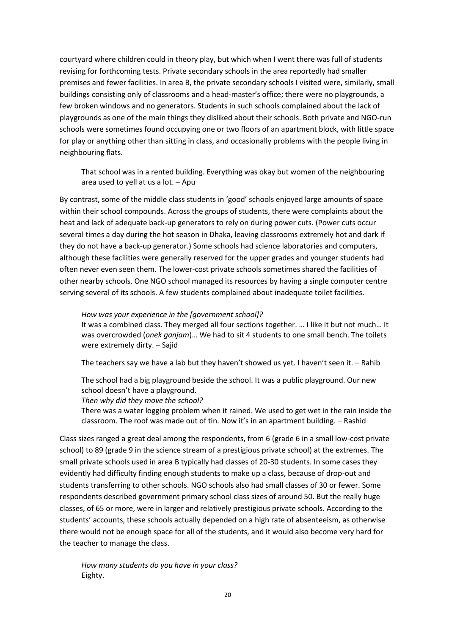courtyard where children could in theory play, but which when I went there was full of students revising for forthcoming tests. Private secondary schools in the area reportedly had smaller premises and fewer facilities. In area B, the private secondary schools I visited were, similarly, small buildings consisting only of classrooms and a head-master's office; there were no playgrounds, a few broken windows and no generators. Students in such schools complained about the lack of playgrounds as one of the main things they disliked about their schools. Both private and NGO-run schools were sometimes found occupying one or two floors of an apartment block, with little space for play or anything other than sitting in class, and occasionally problems with the people living in neighbouring flats.

That school was in a rented building. Everything was okay but women of the neighbouring area used to yell at us a lot. – Apu

By contrast, some of the middle class students in 'good' schools enjoyed large amounts of space within their school compounds. Across the groups of students, there were complaints about the heat and lack of adequate back-up generators to rely on during power cuts. (Power cuts occur several times a day during the hot season in Dhaka, leaving classrooms extremely hot and dark if they do not have a back-up generator.) Some schools had science laboratories and computers, although these facilities were generally reserved for the upper grades and younger students had often never even seen them. The lower-cost private schools sometimes shared the facilities of other nearby schools. One NGO school managed its resources by having a single computer centre serving several of its schools. A few students complained about inadequate toilet facilities.

#### *How was your experience in the [government school]?*

It was a combined class. They merged all four sections together. … I like it but not much… It was overcrowded (*onek ganjam*)… We had to sit 4 students to one small bench. The toilets were extremely dirty. – Sajid

The teachers say we have a lab but they haven't showed us yet. I haven't seen it. – Rahib

The school had a big playground beside the school. It was a public playground. Our new school doesn't have a playground.

#### *Then why did they move the school?*

There was a water logging problem when it rained. We used to get wet in the rain inside the classroom. The roof was made out of tin. Now it's in an apartment building. – Rashid

Class sizes ranged a great deal among the respondents, from 6 (grade 6 in a small low-cost private school) to 89 (grade 9 in the science stream of a prestigious private school) at the extremes. The small private schools used in area B typically had classes of 20-30 students. In some cases they evidently had difficulty finding enough students to make up a class, because of drop-out and students transferring to other schools. NGO schools also had small classes of 30 or fewer. Some respondents described government primary school class sizes of around 50. But the really huge classes, of 65 or more, were in larger and relatively prestigious private schools. According to the students' accounts, these schools actually depended on a high rate of absenteeism, as otherwise there would not be enough space for all of the students, and it would also become very hard for the teacher to manage the class.

*How many students do you have in your class?* Eighty.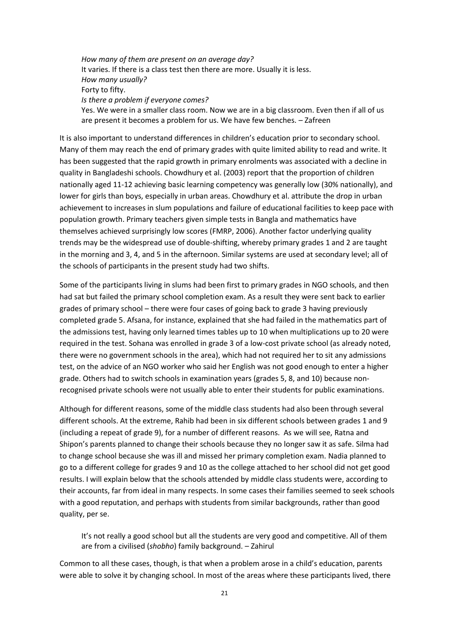*How many of them are present on an average day?* It varies. If there is a class test then there are more. Usually it is less. *How many usually?* Forty to fifty. *Is there a problem if everyone comes?* Yes. We were in a smaller class room. Now we are in a big classroom. Even then if all of us are present it becomes a problem for us. We have few benches. – Zafreen

It is also important to understand differences in children's education prior to secondary school. Many of them may reach the end of primary grades with quite limited ability to read and write. It has been suggested that the rapid growth in primary enrolments was associated with a decline in quality in Bangladeshi schools. Chowdhury et al. (2003) report that the proportion of children nationally aged 11-12 achieving basic learning competency was generally low (30% nationally), and lower for girls than boys, especially in urban areas. Chowdhury et al. attribute the drop in urban achievement to increases in slum populations and failure of educational facilities to keep pace with population growth. Primary teachers given simple tests in Bangla and mathematics have themselves achieved surprisingly low scores (FMRP, 2006). Another factor underlying quality trends may be the widespread use of double-shifting, whereby primary grades 1 and 2 are taught in the morning and 3, 4, and 5 in the afternoon. Similar systems are used at secondary level; all of the schools of participants in the present study had two shifts.

Some of the participants living in slums had been first to primary grades in NGO schools, and then had sat but failed the primary school completion exam. As a result they were sent back to earlier grades of primary school – there were four cases of going back to grade 3 having previously completed grade 5. Afsana, for instance, explained that she had failed in the mathematics part of the admissions test, having only learned times tables up to 10 when multiplications up to 20 were required in the test. Sohana was enrolled in grade 3 of a low-cost private school (as already noted, there were no government schools in the area), which had not required her to sit any admissions test, on the advice of an NGO worker who said her English was not good enough to enter a higher grade. Others had to switch schools in examination years (grades 5, 8, and 10) because nonrecognised private schools were not usually able to enter their students for public examinations.

Although for different reasons, some of the middle class students had also been through several different schools. At the extreme, Rahib had been in six different schools between grades 1 and 9 (including a repeat of grade 9), for a number of different reasons. As we will see, Ratna and Shipon's parents planned to change their schools because they no longer saw it as safe. Silma had to change school because she was ill and missed her primary completion exam. Nadia planned to go to a different college for grades 9 and 10 as the college attached to her school did not get good results. I will explain below that the schools attended by middle class students were, according to their accounts, far from ideal in many respects. In some cases their families seemed to seek schools with a good reputation, and perhaps with students from similar backgrounds, rather than good quality, per se.

It's not really a good school but all the students are very good and competitive. All of them are from a civilised (*shobho*) family background. – Zahirul

Common to all these cases, though, is that when a problem arose in a child's education, parents were able to solve it by changing school. In most of the areas where these participants lived, there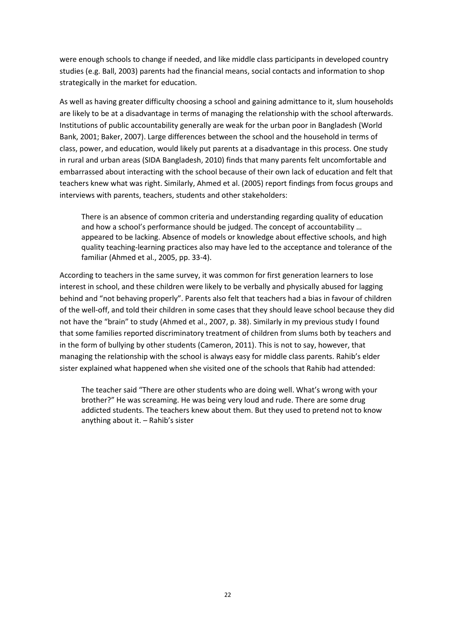were enough schools to change if needed, and like middle class participants in developed country studies (e.g. Ball, 2003) parents had the financial means, social contacts and information to shop strategically in the market for education.

As well as having greater difficulty choosing a school and gaining admittance to it, slum households are likely to be at a disadvantage in terms of managing the relationship with the school afterwards. Institutions of public accountability generally are weak for the urban poor in Bangladesh (World Bank, 2001; Baker, 2007). Large differences between the school and the household in terms of class, power, and education, would likely put parents at a disadvantage in this process. One study in rural and urban areas (SIDA Bangladesh, 2010) finds that many parents felt uncomfortable and embarrassed about interacting with the school because of their own lack of education and felt that teachers knew what was right. Similarly, Ahmed et al. (2005) report findings from focus groups and interviews with parents, teachers, students and other stakeholders:

There is an absence of common criteria and understanding regarding quality of education and how a school's performance should be judged. The concept of accountability … appeared to be lacking. Absence of models or knowledge about effective schools, and high quality teaching-learning practices also may have led to the acceptance and tolerance of the familiar (Ahmed et al., 2005, pp. 33-4).

According to teachers in the same survey, it was common for first generation learners to lose interest in school, and these children were likely to be verbally and physically abused for lagging behind and "not behaving properly". Parents also felt that teachers had a bias in favour of children of the well-off, and told their children in some cases that they should leave school because they did not have the "brain" to study (Ahmed et al., 2007, p. 38). Similarly in my previous study I found that some families reported discriminatory treatment of children from slums both by teachers and in the form of bullying by other students (Cameron, 2011). This is not to say, however, that managing the relationship with the school is always easy for middle class parents. Rahib's elder sister explained what happened when she visited one of the schools that Rahib had attended:

The teacher said "There are other students who are doing well. What's wrong with your brother?" He was screaming. He was being very loud and rude. There are some drug addicted students. The teachers knew about them. But they used to pretend not to know anything about it. – Rahib's sister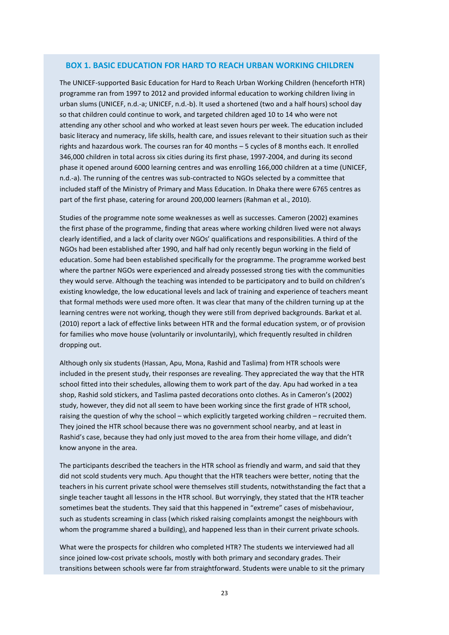#### <span id="page-22-0"></span> **BOX 1. BASIC EDUCATION FOR HARD TO REACH URBAN WORKING CHILDREN**

The UNICEF-supported Basic Education for Hard to Reach Urban Working Children (henceforth HTR) programme ran from 1997 to 2012 and provided informal education to working children living in urban slums (UNICEF, n.d.-a; UNICEF, n.d.-b). It used a shortened (two and a half hours) school day so that children could continue to work, and targeted children aged 10 to 14 who were not attending any other school and who worked at least seven hours per week. The education included basic literacy and numeracy, life skills, health care, and issues relevant to their situation such as their rights and hazardous work. The courses ran for 40 months – 5 cycles of 8 months each. It enrolled 346,000 children in total across six cities during its first phase, 1997-2004, and during its second phase it opened around 6000 learning centres and was enrolling 166,000 children at a time (UNICEF, n.d.-a). The running of the centres was sub-contracted to NGOs selected by a committee that included staff of the Ministry of Primary and Mass Education. In Dhaka there were 6765 centres as part of the first phase, catering for around 200,000 learners (Rahman et al., 2010).

Studies of the programme note some weaknesses as well as successes. Cameron (2002) examines the first phase of the programme, finding that areas where working children lived were not always clearly identified, and a lack of clarity over NGOs' qualifications and responsibilities. A third of the NGOs had been established after 1990, and half had only recently begun working in the field of education. Some had been established specifically for the programme. The programme worked best where the partner NGOs were experienced and already possessed strong ties with the communities they would serve. Although the teaching was intended to be participatory and to build on children's existing knowledge, the low educational levels and lack of training and experience of teachers meant that formal methods were used more often. It was clear that many of the children turning up at the learning centres were not working, though they were still from deprived backgrounds. Barkat et al. (2010) report a lack of effective links between HTR and the formal education system, or of provision for families who move house (voluntarily or involuntarily), which frequently resulted in children dropping out.

Although only six students (Hassan, Apu, Mona, Rashid and Taslima) from HTR schools were included in the present study, their responses are revealing. They appreciated the way that the HTR school fitted into their schedules, allowing them to work part of the day. Apu had worked in a tea shop, Rashid sold stickers, and Taslima pasted decorations onto clothes. As in Cameron's (2002) study, however, they did not all seem to have been working since the first grade of HTR school, raising the question of why the school - which explicitly targeted working children - recruited them. They joined the HTR school because there was no government school nearby, and at least in Rashid's case, because they had only just moved to the area from their home village, and didn't know anyone in the area.

The participants described the teachers in the HTR school as friendly and warm, and said that they did not scold students very much. Apu thought that the HTR teachers were better, noting that the teachers in his current private school were themselves still students, notwithstanding the fact that a single teacher taught all lessons in the HTR school. But worryingly, they stated that the HTR teacher sometimes beat the students. They said that this happened in "extreme" cases of misbehaviour, such as students screaming in class (which risked raising complaints amongst the neighbours with whom the programme shared a building), and happened less than in their current private schools.

What were the prospects for children who completed HTR? The students we interviewed had all since joined low-cost private schools, mostly with both primary and secondary grades. Their transitions between schools were far from straightforward. Students were unable to sit the primary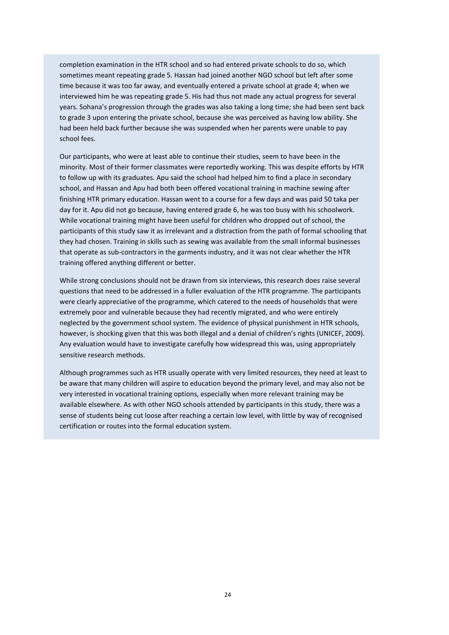completion examination in the HTR school and so had entered private schools to do so, which sometimes meant repeating grade 5. Hassan had joined another NGO school but left after some time because it was too far away, and eventually entered a private school at grade 4; when we interviewed him he was repeating grade 5. His had thus not made any actual progress for several years. Sohana's progression through the grades was also taking a long time; she had been sent back to grade 3 upon entering the private school, because she was perceived as having low ability. She had been held back further because she was suspended when her parents were unable to pay school fees.

Our participants, who were at least able to continue their studies, seem to have been in the minority. Most of their former classmates were reportedly working. This was despite efforts by HTR to follow up with its graduates. Apu said the school had helped him to find a place in secondary school, and Hassan and Apu had both been offered vocational training in machine sewing after finishing HTR primary education. Hassan went to a course for a few days and was paid 50 taka per day for it. Apu did not go because, having entered grade 6, he was too busy with his schoolwork. While vocational training might have been useful for children who dropped out of school, the participants of this study saw it as irrelevant and a distraction from the path of formal schooling that they had chosen. Training in skills such as sewing was available from the small informal businesses that operate as sub-contractors in the garments industry, and it was not clear whether the HTR training offered anything different or better.

While strong conclusions should not be drawn from six interviews, this research does raise several questions that need to be addressed in a fuller evaluation of the HTR programme. The participants were clearly appreciative of the programme, which catered to the needs of households that were extremely poor and vulnerable because they had recently migrated, and who were entirely neglected by the government school system. The evidence of physical punishment in HTR schools, however, is shocking given that this was both illegal and a denial of children's rights (UNICEF, 2009). Any evaluation would have to investigate carefully how widespread this was, using appropriately sensitive research methods.

Although programmes such as HTR usually operate with very limited resources, they need at least to be aware that many children will aspire to education beyond the primary level, and may also not be very interested in vocational training options, especially when more relevant training may be available elsewhere. As with other NGO schools attended by participants in this study, there was a sense of students being cut loose after reaching a certain low level, with little by way of recognised certification or routes into the formal education system.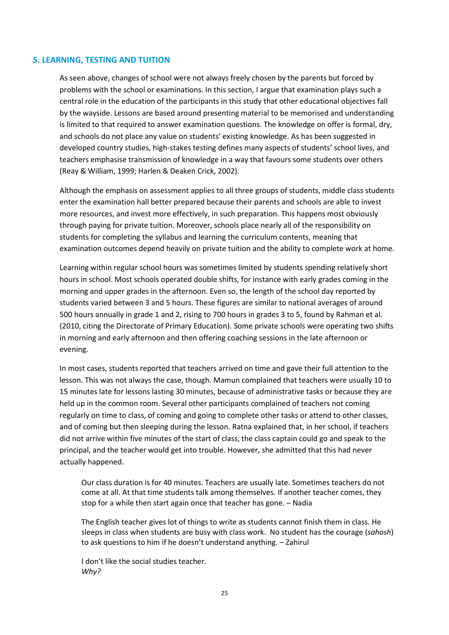#### **5. LEARNING, TESTING AND TUITION**

As seen above, changes of school were not always freely chosen by the parents but forced by problems with the school or examinations. In this section, I argue that examination plays such a central role in the education of the participants in this study that other educational objectives fall by the wayside. Lessons are based around presenting material to be memorised and understanding is limited to that required to answer examination questions. The knowledge on offer is formal, dry, and schools do not place any value on students' existing knowledge. As has been suggested in developed country studies, high-stakes testing defines many aspects of students' school lives, and teachers emphasise transmission of knowledge in a way that favours some students over others (Reay & William, 1999; Harlen & Deaken Crick, 2002).

Although the emphasis on assessment applies to all three groups of students, middle class students enter the examination hall better prepared because their parents and schools are able to invest more resources, and invest more effectively, in such preparation. This happens most obviously through paying for private tuition. Moreover, schools place nearly all of the responsibility on students for completing the syllabus and learning the curriculum contents, meaning that examination outcomes depend heavily on private tuition and the ability to complete work at home.

Learning within regular school hours was sometimes limited by students spending relatively short hours in school. Most schools operated double shifts, for instance with early grades coming in the morning and upper grades in the afternoon. Even so, the length of the school day reported by students varied between 3 and 5 hours. These figures are similar to national averages of around 500 hours annually in grade 1 and 2, rising to 700 hours in grades 3 to 5, found by Rahman et al. (2010, citing the Directorate of Primary Education). Some private schools were operating two shifts in morning and early afternoon and then offering coaching sessions in the late afternoon or evening.

In most cases, students reported that teachers arrived on time and gave their full attention to the lesson. This was not always the case, though. Mamun complained that teachers were usually 10 to 15 minutes late for lessons lasting 30 minutes, because of administrative tasks or because they are held up in the common room. Several other participants complained of teachers not coming regularly on time to class, of coming and going to complete other tasks or attend to other classes, and of coming but then sleeping during the lesson. Ratna explained that, in her school, if teachers did not arrive within five minutes of the start of class, the class captain could go and speak to the principal, and the teacher would get into trouble. However, she admitted that this had never actually happened.

Our class duration is for 40 minutes. Teachers are usually late. Sometimes teachers do not come at all. At that time students talk among themselves. If another teacher comes, they stop for a while then start again once that teacher has gone. – Nadia

The English teacher gives lot of things to write as students cannot finish them in class. He sleeps in class when students are busy with class work. No student has the courage (*sahosh*) to ask questions to him if he doesn't understand anything. – Zahirul

I don't like the social studies teacher. *Why?*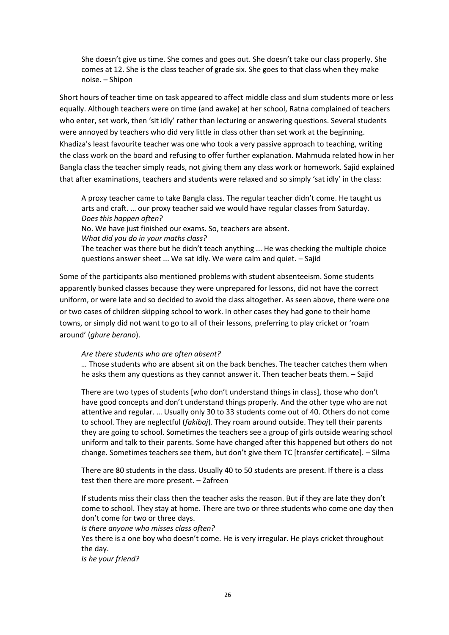She doesn't give us time. She comes and goes out. She doesn't take our class properly. She comes at 12. She is the class teacher of grade six. She goes to that class when they make noise. – Shipon

Short hours of teacher time on task appeared to affect middle class and slum students more or less equally. Although teachers were on time (and awake) at her school, Ratna complained of teachers who enter, set work, then 'sit idly' rather than lecturing or answering questions. Several students were annoyed by teachers who did very little in class other than set work at the beginning. Khadiza's least favourite teacher was one who took a very passive approach to teaching, writing the class work on the board and refusing to offer further explanation. Mahmuda related how in her Bangla class the teacher simply reads, not giving them any class work or homework. Sajid explained that after examinations, teachers and students were relaxed and so simply 'sat idly' in the class:

A proxy teacher came to take Bangla class. The regular teacher didn't come. He taught us arts and craft. … our proxy teacher said we would have regular classes from Saturday. *Does this happen often?*

No. We have just finished our exams. So, teachers are absent.

*What did you do in your maths class?*

The teacher was there but he didn't teach anything ... He was checking the multiple choice questions answer sheet ... We sat idly. We were calm and quiet. – Sajid

Some of the participants also mentioned problems with student absenteeism. Some students apparently bunked classes because they were unprepared for lessons, did not have the correct uniform, or were late and so decided to avoid the class altogether. As seen above, there were one or two cases of children skipping school to work. In other cases they had gone to their home towns, or simply did not want to go to all of their lessons, preferring to play cricket or 'roam around' (*ghure berano*).

#### *Are there students who are often absent?*

*…* Those students who are absent sit on the back benches. The teacher catches them when he asks them any questions as they cannot answer it. Then teacher beats them. – Sajid

There are two types of students [who don't understand things in class], those who don't have good concepts and don't understand things properly. And the other type who are not attentive and regular. … Usually only 30 to 33 students come out of 40. Others do not come to school. They are neglectful (*fakibaj*). They roam around outside. They tell their parents they are going to school. Sometimes the teachers see a group of girls outside wearing school uniform and talk to their parents. Some have changed after this happened but others do not change. Sometimes teachers see them, but don't give them TC [transfer certificate]. – Silma

There are 80 students in the class. Usually 40 to 50 students are present. If there is a class test then there are more present. – Zafreen

If students miss their class then the teacher asks the reason. But if they are late they don't come to school. They stay at home. There are two or three students who come one day then don't come for two or three days.

*Is there anyone who misses class often?* 

Yes there is a one boy who doesn't come. He is very irregular. He plays cricket throughout the day.

*Is he your friend?*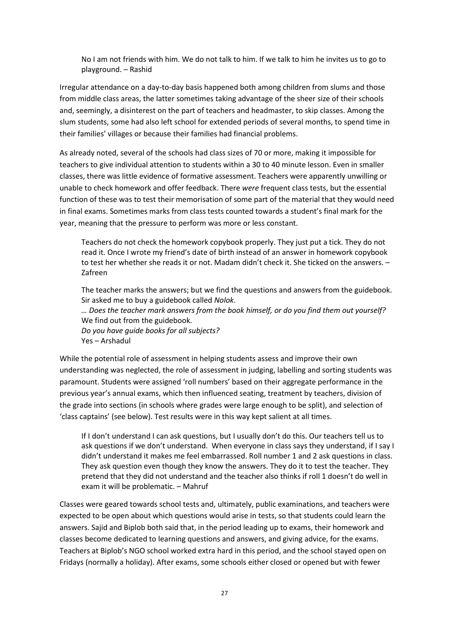No I am not friends with him. We do not talk to him. If we talk to him he invites us to go to playground. – Rashid

Irregular attendance on a day-to-day basis happened both among children from slums and those from middle class areas, the latter sometimes taking advantage of the sheer size of their schools and, seemingly, a disinterest on the part of teachers and headmaster, to skip classes. Among the slum students, some had also left school for extended periods of several months, to spend time in their families' villages or because their families had financial problems.

As already noted, several of the schools had class sizes of 70 or more, making it impossible for teachers to give individual attention to students within a 30 to 40 minute lesson. Even in smaller classes, there was little evidence of formative assessment. Teachers were apparently unwilling or unable to check homework and offer feedback. There *were* frequent class tests, but the essential function of these was to test their memorisation of some part of the material that they would need in final exams. Sometimes marks from class tests counted towards a student's final mark for the year, meaning that the pressure to perform was more or less constant.

Teachers do not check the homework copybook properly. They just put a tick. They do not read it. Once I wrote my friend's date of birth instead of an answer in homework copybook to test her whether she reads it or not. Madam didn't check it. She ticked on the answers. – Zafreen

The teacher marks the answers; but we find the questions and answers from the guidebook. Sir asked me to buy a guidebook called *Nolok*.

*… Does the teacher mark answers from the book himself, or do you find them out yourself?* We find out from the guidebook.

*Do you have guide books for all subjects?* Yes – Arshadul

While the potential role of assessment in helping students assess and improve their own understanding was neglected, the role of assessment in judging, labelling and sorting students was paramount. Students were assigned 'roll numbers' based on their aggregate performance in the previous year's annual exams, which then influenced seating, treatment by teachers, division of the grade into sections (in schools where grades were large enough to be split), and selection of 'class captains' (see below). Test results were in this way kept salient at all times.

If I don't understand I can ask questions, but I usually don't do this. Our teachers tell us to ask questions if we don't understand. When everyone in class says they understand, if I say I didn't understand it makes me feel embarrassed. Roll number 1 and 2 ask questions in class. They ask question even though they know the answers. They do it to test the teacher. They pretend that they did not understand and the teacher also thinks if roll 1 doesn't do well in exam it will be problematic. – Mahruf

Classes were geared towards school tests and, ultimately, public examinations, and teachers were expected to be open about which questions would arise in tests, so that students could learn the answers. Sajid and Biplob both said that, in the period leading up to exams, their homework and classes become dedicated to learning questions and answers, and giving advice, for the exams. Teachers at Biplob's NGO school worked extra hard in this period, and the school stayed open on Fridays (normally a holiday). After exams, some schools either closed or opened but with fewer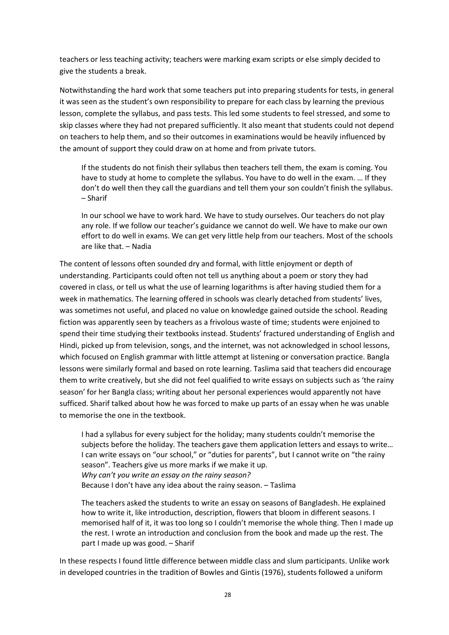teachers or less teaching activity; teachers were marking exam scripts or else simply decided to give the students a break.

Notwithstanding the hard work that some teachers put into preparing students for tests, in general it was seen as the student's own responsibility to prepare for each class by learning the previous lesson, complete the syllabus, and pass tests. This led some students to feel stressed, and some to skip classes where they had not prepared sufficiently. It also meant that students could not depend on teachers to help them, and so their outcomes in examinations would be heavily influenced by the amount of support they could draw on at home and from private tutors.

If the students do not finish their syllabus then teachers tell them, the exam is coming. You have to study at home to complete the syllabus. You have to do well in the exam. … If they don't do well then they call the guardians and tell them your son couldn't finish the syllabus. – Sharif

In our school we have to work hard. We have to study ourselves. Our teachers do not play any role. If we follow our teacher's guidance we cannot do well. We have to make our own effort to do well in exams. We can get very little help from our teachers. Most of the schools are like that. – Nadia

The content of lessons often sounded dry and formal, with little enjoyment or depth of understanding. Participants could often not tell us anything about a poem or story they had covered in class, or tell us what the use of learning logarithms is after having studied them for a week in mathematics. The learning offered in schools was clearly detached from students' lives, was sometimes not useful, and placed no value on knowledge gained outside the school. Reading fiction was apparently seen by teachers as a frivolous waste of time; students were enjoined to spend their time studying their textbooks instead. Students' fractured understanding of English and Hindi, picked up from television, songs, and the internet, was not acknowledged in school lessons, which focused on English grammar with little attempt at listening or conversation practice. Bangla lessons were similarly formal and based on rote learning. Taslima said that teachers did encourage them to write creatively, but she did not feel qualified to write essays on subjects such as 'the rainy season' for her Bangla class; writing about her personal experiences would apparently not have sufficed. Sharif talked about how he was forced to make up parts of an essay when he was unable to memorise the one in the textbook.

I had a syllabus for every subject for the holiday; many students couldn't memorise the subjects before the holiday. The teachers gave them application letters and essays to write… I can write essays on "our school," or "duties for parents", but I cannot write on "the rainy season". Teachers give us more marks if we make it up. *Why can't you write an essay on the rainy season?* Because I don't have any idea about the rainy season. – Taslima

The teachers asked the students to write an essay on seasons of Bangladesh. He explained how to write it, like introduction, description, flowers that bloom in different seasons. I memorised half of it, it was too long so I couldn't memorise the whole thing. Then I made up the rest. I wrote an introduction and conclusion from the book and made up the rest. The part I made up was good. – Sharif

In these respects I found little difference between middle class and slum participants. Unlike work in developed countries in the tradition of Bowles and Gintis (1976), students followed a uniform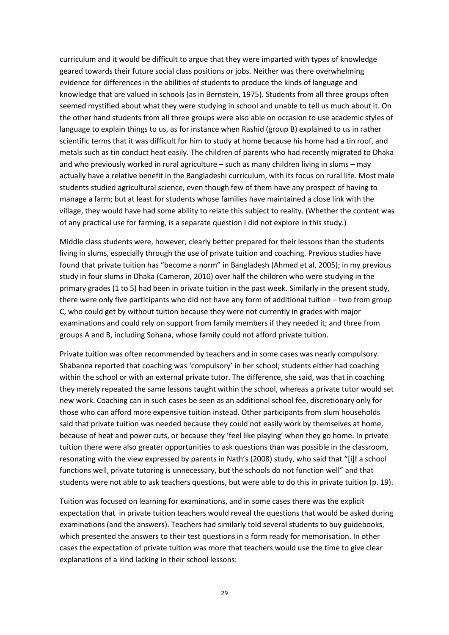curriculum and it would be difficult to argue that they were imparted with types of knowledge geared towards their future social class positions or jobs. Neither was there overwhelming evidence for differences in the abilities of students to produce the kinds of language and knowledge that are valued in schools (as in Bernstein, 1975). Students from all three groups often seemed mystified about what they were studying in school and unable to tell us much about it. On the other hand students from all three groups were also able on occasion to use academic styles of language to explain things to us, as for instance when Rashid (group B) explained to us in rather scientific terms that it was difficult for him to study at home because his home had a tin roof, and metals such as tin conduct heat easily. The children of parents who had recently migrated to Dhaka and who previously worked in rural agriculture – such as many children living in slums – may actually have a relative benefit in the Bangladeshi curriculum, with its focus on rural life. Most male students studied agricultural science, even though few of them have any prospect of having to manage a farm; but at least for students whose families have maintained a close link with the village, they would have had some ability to relate this subject to reality. (Whether the content was of any practical use for farming, is a separate question I did not explore in this study.)

Middle class students were, however, clearly better prepared for their lessons than the students living in slums, especially through the use of private tuition and coaching. Previous studies have found that private tuition has "become a norm" in Bangladesh (Ahmed et al, 2005); in my previous study in four slums in Dhaka (Cameron, 2010) over half the children who were studying in the primary grades (1 to 5) had been in private tuition in the past week. Similarly in the present study, there were only five participants who did not have any form of additional tuition – two from group C, who could get by without tuition because they were not currently in grades with major examinations and could rely on support from family members if they needed it; and three from groups A and B, including Sohana, whose family could not afford private tuition.

Private tuition was often recommended by teachers and in some cases was nearly compulsory. Shabanna reported that coaching was 'compulsory' in her school; students either had coaching within the school or with an external private tutor. The difference, she said, was that in coaching they merely repeated the same lessons taught within the school, whereas a private tutor would set new work. Coaching can in such cases be seen as an additional school fee, discretionary only for those who can afford more expensive tuition instead. Other participants from slum households said that private tuition was needed because they could not easily work by themselves at home, because of heat and power cuts, or because they 'feel like playing' when they go home. In private tuition there were also greater opportunities to ask questions than was possible in the classroom, resonating with the view expressed by parents in Nath's (2008) study, who said that "[i]f a school functions well, private tutoring is unnecessary, but the schools do not function well" and that students were not able to ask teachers questions, but were able to do this in private tuition (p. 19).

Tuition was focused on learning for examinations, and in some cases there was the explicit expectation that in private tuition teachers would reveal the questions that would be asked during examinations (and the answers). Teachers had similarly told several students to buy guidebooks, which presented the answers to their test questions in a form ready for memorisation. In other cases the expectation of private tuition was more that teachers would use the time to give clear explanations of a kind lacking in their school lessons: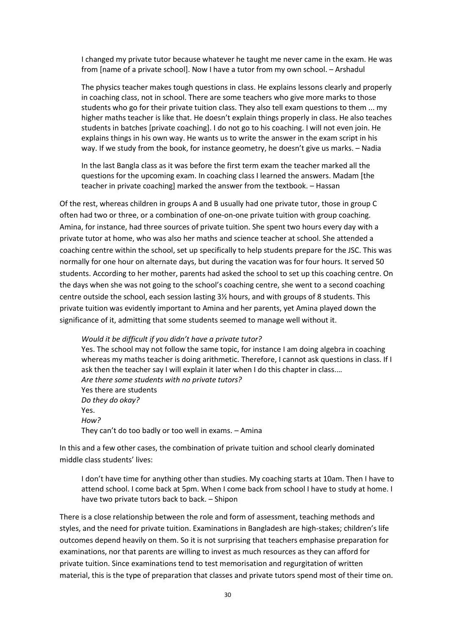I changed my private tutor because whatever he taught me never came in the exam. He was from [name of a private school]. Now I have a tutor from my own school. – Arshadul

The physics teacher makes tough questions in class. He explains lessons clearly and properly in coaching class, not in school. There are some teachers who give more marks to those students who go for their private tuition class. They also tell exam questions to them ... my higher maths teacher is like that. He doesn't explain things properly in class. He also teaches students in batches [private coaching]. I do not go to his coaching. I will not even join. He explains things in his own way. He wants us to write the answer in the exam script in his way. If we study from the book, for instance geometry, he doesn't give us marks. – Nadia

In the last Bangla class as it was before the first term exam the teacher marked all the questions for the upcoming exam. In coaching class I learned the answers. Madam [the teacher in private coaching] marked the answer from the textbook. – Hassan

Of the rest, whereas children in groups A and B usually had one private tutor, those in group C often had two or three, or a combination of one-on-one private tuition with group coaching. Amina, for instance, had three sources of private tuition. She spent two hours every day with a private tutor at home, who was also her maths and science teacher at school. She attended a coaching centre within the school, set up specifically to help students prepare for the JSC. This was normally for one hour on alternate days, but during the vacation was for four hours. It served 50 students. According to her mother, parents had asked the school to set up this coaching centre. On the days when she was not going to the school's coaching centre, she went to a second coaching centre outside the school, each session lasting 3½ hours, and with groups of 8 students. This private tuition was evidently important to Amina and her parents, yet Amina played down the significance of it, admitting that some students seemed to manage well without it.

*Would it be difficult if you didn't have a private tutor?*  Yes. The school may not follow the same topic, for instance I am doing algebra in coaching whereas my maths teacher is doing arithmetic. Therefore, I cannot ask questions in class. If I ask then the teacher say I will explain it later when I do this chapter in class.… *Are there some students with no private tutors?* Yes there are students *Do they do okay?* Yes. *How?* They can't do too badly or too well in exams. – Amina

In this and a few other cases, the combination of private tuition and school clearly dominated middle class students' lives:

I don't have time for anything other than studies. My coaching starts at 10am. Then I have to attend school. I come back at 5pm. When I come back from school I have to study at home. I have two private tutors back to back. – Shipon

There is a close relationship between the role and form of assessment, teaching methods and styles, and the need for private tuition. Examinations in Bangladesh are high-stakes; children's life outcomes depend heavily on them. So it is not surprising that teachers emphasise preparation for examinations, nor that parents are willing to invest as much resources as they can afford for private tuition. Since examinations tend to test memorisation and regurgitation of written material, this is the type of preparation that classes and private tutors spend most of their time on.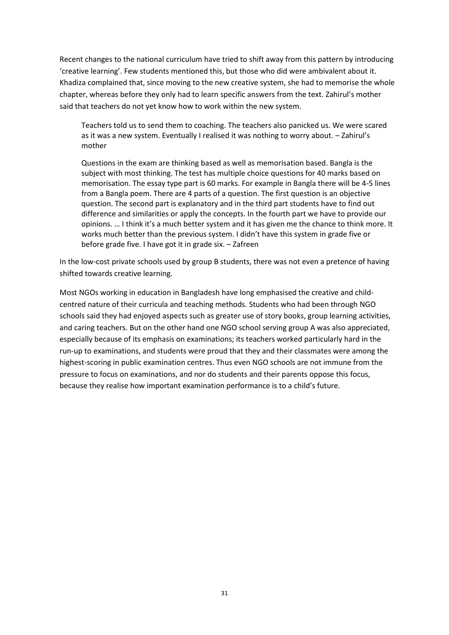Recent changes to the national curriculum have tried to shift away from this pattern by introducing 'creative learning'. Few students mentioned this, but those who did were ambivalent about it. Khadiza complained that, since moving to the new creative system, she had to memorise the whole chapter, whereas before they only had to learn specific answers from the text. Zahirul's mother said that teachers do not yet know how to work within the new system.

Teachers told us to send them to coaching. The teachers also panicked us. We were scared as it was a new system. Eventually I realised it was nothing to worry about. – Zahirul's mother

Questions in the exam are thinking based as well as memorisation based. Bangla is the subject with most thinking. The test has multiple choice questions for 40 marks based on memorisation. The essay type part is 60 marks. For example in Bangla there will be 4-5 lines from a Bangla poem. There are 4 parts of a question. The first question is an objective question. The second part is explanatory and in the third part students have to find out difference and similarities or apply the concepts. In the fourth part we have to provide our opinions. … I think it's a much better system and it has given me the chance to think more. It works much better than the previous system. I didn't have this system in grade five or before grade five. I have got it in grade six. – Zafreen

In the low-cost private schools used by group B students, there was not even a pretence of having shifted towards creative learning.

Most NGOs working in education in Bangladesh have long emphasised the creative and childcentred nature of their curricula and teaching methods. Students who had been through NGO schools said they had enjoyed aspects such as greater use of story books, group learning activities, and caring teachers. But on the other hand one NGO school serving group A was also appreciated, especially because of its emphasis on examinations; its teachers worked particularly hard in the run-up to examinations, and students were proud that they and their classmates were among the highest-scoring in public examination centres. Thus even NGO schools are not immune from the pressure to focus on examinations, and nor do students and their parents oppose this focus, because they realise how important examination performance is to a child's future.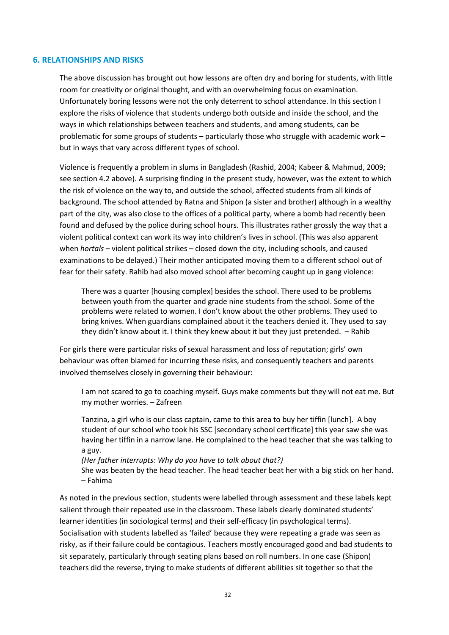#### **6. RELATIONSHIPS AND RISKS**

The above discussion has brought out how lessons are often dry and boring for students, with little room for creativity or original thought, and with an overwhelming focus on examination. Unfortunately boring lessons were not the only deterrent to school attendance. In this section I explore the risks of violence that students undergo both outside and inside the school, and the ways in which relationships between teachers and students, and among students, can be problematic for some groups of students – particularly those who struggle with academic work – but in ways that vary across different types of school.

Violence is frequently a problem in slums in Bangladesh (Rashid, 2004; Kabeer & Mahmud, 2009; see section 4.2 above). A surprising finding in the present study, however, was the extent to which the risk of violence on the way to, and outside the school, affected students from all kinds of background. The school attended by Ratna and Shipon (a sister and brother) although in a wealthy part of the city, was also close to the offices of a political party, where a bomb had recently been found and defused by the police during school hours. This illustrates rather grossly the way that a violent political context can work its way into children's lives in school. (This was also apparent when *hortals* – violent political strikes – closed down the city, including schools, and caused examinations to be delayed.) Their mother anticipated moving them to a different school out of fear for their safety. Rahib had also moved school after becoming caught up in gang violence:

There was a quarter [housing complex] besides the school. There used to be problems between youth from the quarter and grade nine students from the school. Some of the problems were related to women. I don't know about the other problems. They used to bring knives. When guardians complained about it the teachers denied it. They used to say they didn't know about it. I think they knew about it but they just pretended. – Rahib

For girls there were particular risks of sexual harassment and loss of reputation; girls' own behaviour was often blamed for incurring these risks, and consequently teachers and parents involved themselves closely in governing their behaviour:

I am not scared to go to coaching myself. Guys make comments but they will not eat me. But my mother worries. – Zafreen

Tanzina, a girl who is our class captain, came to this area to buy her tiffin [lunch]. A boy student of our school who took his SSC [secondary school certificate] this year saw she was having her tiffin in a narrow lane. He complained to the head teacher that she was talking to a guy.

*(Her father interrupts: Why do you have to talk about that?)* She was beaten by the head teacher. The head teacher beat her with a big stick on her hand. – Fahima

As noted in the previous section, students were labelled through assessment and these labels kept salient through their repeated use in the classroom. These labels clearly dominated students' learner identities (in sociological terms) and their self-efficacy (in psychological terms). Socialisation with students labelled as 'failed' because they were repeating a grade was seen as risky, as if their failure could be contagious. Teachers mostly encouraged good and bad students to sit separately, particularly through seating plans based on roll numbers. In one case (Shipon) teachers did the reverse, trying to make students of different abilities sit together so that the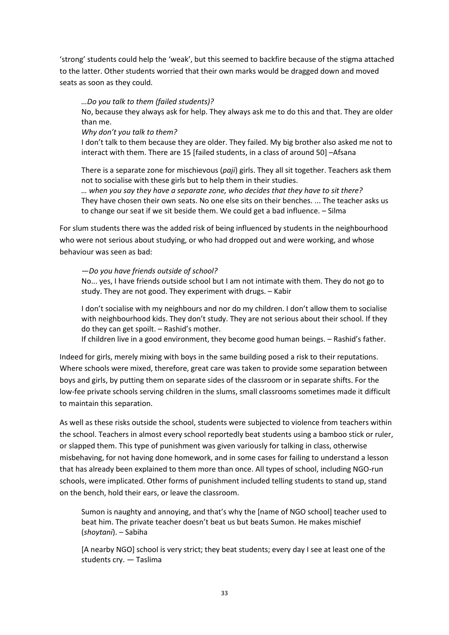'strong' students could help the 'weak', but this seemed to backfire because of the stigma attached to the latter. Other students worried that their own marks would be dragged down and moved seats as soon as they could.

*…Do you talk to them (failed students)?*

No, because they always ask for help. They always ask me to do this and that. They are older than me.

*Why don't you talk to them?*

I don't talk to them because they are older. They failed. My big brother also asked me not to interact with them. There are 15 [failed students, in a class of around 50] –Afsana

There is a separate zone for mischievous (*paji*) girls. They all sit together. Teachers ask them not to socialise with these girls but to help them in their studies.

*… when you say they have a separate zone, who decides that they have to sit there?* They have chosen their own seats. No one else sits on their benches. ... The teacher asks us to change our seat if we sit beside them. We could get a bad influence. – Silma

For slum students there was the added risk of being influenced by students in the neighbourhood who were not serious about studying, or who had dropped out and were working, and whose behaviour was seen as bad:

*—Do you have friends outside of school?*

No... yes, I have friends outside school but I am not intimate with them. They do not go to study. They are not good. They experiment with drugs. – Kabir

I don't socialise with my neighbours and nor do my children. I don't allow them to socialise with neighbourhood kids. They don't study. They are not serious about their school. If they do they can get spoilt. – Rashid's mother.

If children live in a good environment, they become good human beings. – Rashid's father.

Indeed for girls, merely mixing with boys in the same building posed a risk to their reputations. Where schools were mixed, therefore, great care was taken to provide some separation between boys and girls, by putting them on separate sides of the classroom or in separate shifts. For the low-fee private schools serving children in the slums, small classrooms sometimes made it difficult to maintain this separation.

As well as these risks outside the school, students were subjected to violence from teachers within the school. Teachers in almost every school reportedly beat students using a bamboo stick or ruler, or slapped them. This type of punishment was given variously for talking in class, otherwise misbehaving, for not having done homework, and in some cases for failing to understand a lesson that has already been explained to them more than once. All types of school, including NGO-run schools, were implicated. Other forms of punishment included telling students to stand up, stand on the bench, hold their ears, or leave the classroom.

Sumon is naughty and annoying, and that's why the [name of NGO school] teacher used to beat him. The private teacher doesn't beat us but beats Sumon. He makes mischief (*shoytani*). – Sabiha

[A nearby NGO] school is very strict; they beat students; every day I see at least one of the students cry. — Taslima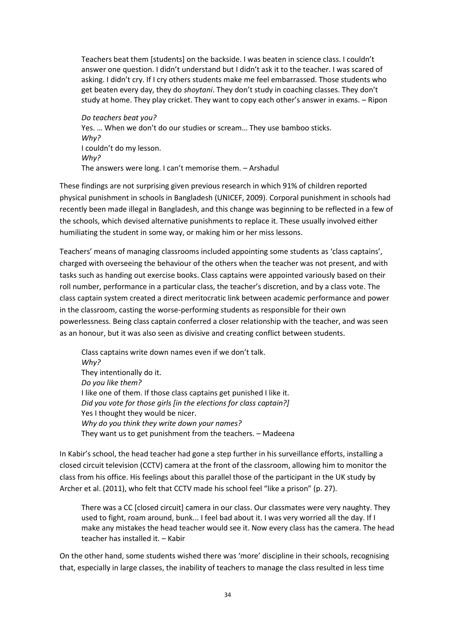Teachers beat them [students] on the backside. I was beaten in science class. I couldn't answer one question. I didn't understand but I didn't ask it to the teacher. I was scared of asking. I didn't cry. If I cry others students make me feel embarrassed. Those students who get beaten every day, they do *shoytani*. They don't study in coaching classes. They don't study at home. They play cricket. They want to copy each other's answer in exams. – Ripon

*Do teachers beat you?* Yes. … When we don't do our studies or scream… They use bamboo sticks. *Why?* I couldn't do my lesson. *Why?* The answers were long. I can't memorise them. – Arshadul

These findings are not surprising given previous research in which 91% of children reported physical punishment in schools in Bangladesh (UNICEF, 2009). Corporal punishment in schools had recently been made illegal in Bangladesh, and this change was beginning to be reflected in a few of the schools, which devised alternative punishments to replace it. These usually involved either humiliating the student in some way, or making him or her miss lessons.

Teachers' means of managing classrooms included appointing some students as 'class captains', charged with overseeing the behaviour of the others when the teacher was not present, and with tasks such as handing out exercise books. Class captains were appointed variously based on their roll number, performance in a particular class, the teacher's discretion, and by a class vote. The class captain system created a direct meritocratic link between academic performance and power in the classroom, casting the worse-performing students as responsible for their own powerlessness. Being class captain conferred a closer relationship with the teacher, and was seen as an honour, but it was also seen as divisive and creating conflict between students.

Class captains write down names even if we don't talk. *Why?* They intentionally do it. *Do you like them?* I like one of them. If those class captains get punished I like it. *Did you vote for those girls [in the elections for class captain?]* Yes I thought they would be nicer. *Why do you think they write down your names?* They want us to get punishment from the teachers. – Madeena

In Kabir's school, the head teacher had gone a step further in his surveillance efforts, installing a closed circuit television (CCTV) camera at the front of the classroom, allowing him to monitor the class from his office. His feelings about this parallel those of the participant in the UK study by Archer et al. (2011), who felt that CCTV made his school feel "like a prison" (p. 27).

There was a CC [closed circuit] camera in our class. Our classmates were very naughty. They used to fight, roam around, bunk... I feel bad about it. I was very worried all the day. If I make any mistakes the head teacher would see it. Now every class has the camera. The head teacher has installed it. – Kabir

On the other hand, some students wished there was 'more' discipline in their schools, recognising that, especially in large classes, the inability of teachers to manage the class resulted in less time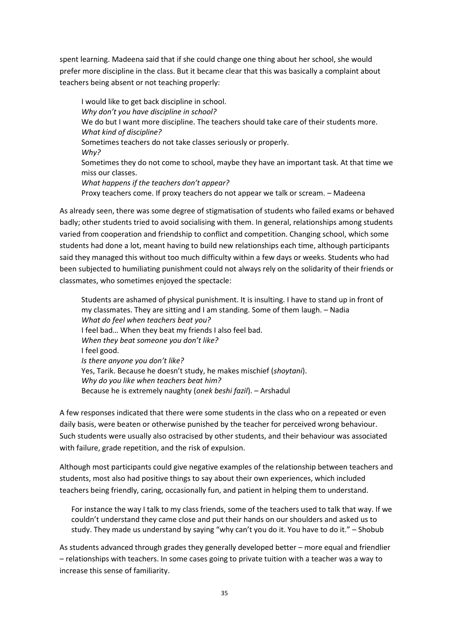spent learning. Madeena said that if she could change one thing about her school, she would prefer more discipline in the class. But it became clear that this was basically a complaint about teachers being absent or not teaching properly:

I would like to get back discipline in school. *Why don't you have discipline in school?* We do but I want more discipline. The teachers should take care of their students more. *What kind of discipline?* Sometimes teachers do not take classes seriously or properly. *Why?* Sometimes they do not come to school, maybe they have an important task. At that time we miss our classes. *What happens if the teachers don't appear?* Proxy teachers come. If proxy teachers do not appear we talk or scream. – Madeena

As already seen, there was some degree of stigmatisation of students who failed exams or behaved badly; other students tried to avoid socialising with them. In general, relationships among students varied from cooperation and friendship to conflict and competition. Changing school, which some students had done a lot, meant having to build new relationships each time, although participants said they managed this without too much difficulty within a few days or weeks. Students who had been subjected to humiliating punishment could not always rely on the solidarity of their friends or classmates, who sometimes enjoyed the spectacle:

Students are ashamed of physical punishment. It is insulting. I have to stand up in front of my classmates. They are sitting and I am standing. Some of them laugh. – Nadia *What do feel when teachers beat you?* I feel bad… When they beat my friends I also feel bad. *When they beat someone you don't like?* I feel good. *Is there anyone you don't like?* Yes, Tarik. Because he doesn't study, he makes mischief (*shoytani*). *Why do you like when teachers beat him?* Because he is extremely naughty (*onek beshi fazil*). – Arshadul

A few responses indicated that there were some students in the class who on a repeated or even daily basis, were beaten or otherwise punished by the teacher for perceived wrong behaviour. Such students were usually also ostracised by other students, and their behaviour was associated with failure, grade repetition, and the risk of expulsion.

Although most participants could give negative examples of the relationship between teachers and students, most also had positive things to say about their own experiences, which included teachers being friendly, caring, occasionally fun, and patient in helping them to understand.

For instance the way I talk to my class friends, some of the teachers used to talk that way. If we couldn't understand they came close and put their hands on our shoulders and asked us to study. They made us understand by saying "why can't you do it. You have to do it." – Shobub

As students advanced through grades they generally developed better – more equal and friendlier – relationships with teachers. In some cases going to private tuition with a teacher was a way to increase this sense of familiarity.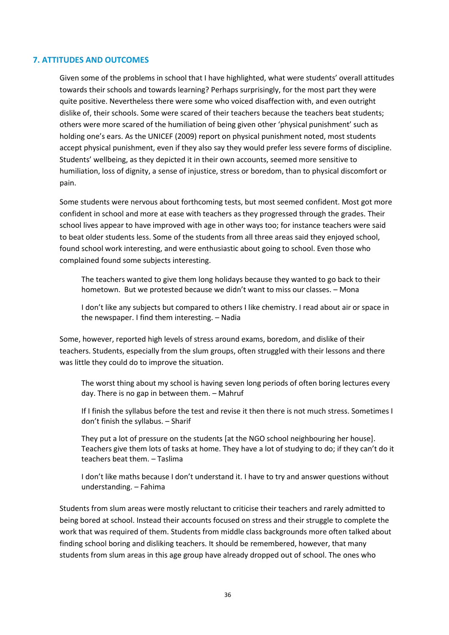## **7. ATTITUDES AND OUTCOMES**

Given some of the problems in school that I have highlighted, what were students' overall attitudes towards their schools and towards learning? Perhaps surprisingly, for the most part they were quite positive. Nevertheless there were some who voiced disaffection with, and even outright dislike of, their schools. Some were scared of their teachers because the teachers beat students; others were more scared of the humiliation of being given other 'physical punishment' such as holding one's ears. As the UNICEF (2009) report on physical punishment noted, most students accept physical punishment, even if they also say they would prefer less severe forms of discipline. Students' wellbeing, as they depicted it in their own accounts, seemed more sensitive to humiliation, loss of dignity, a sense of injustice, stress or boredom, than to physical discomfort or pain.

Some students were nervous about forthcoming tests, but most seemed confident. Most got more confident in school and more at ease with teachers as they progressed through the grades. Their school lives appear to have improved with age in other ways too; for instance teachers were said to beat older students less. Some of the students from all three areas said they enjoyed school, found school work interesting, and were enthusiastic about going to school. Even those who complained found some subjects interesting.

The teachers wanted to give them long holidays because they wanted to go back to their hometown. But we protested because we didn't want to miss our classes. – Mona

I don't like any subjects but compared to others I like chemistry. I read about air or space in the newspaper. I find them interesting. – Nadia

Some, however, reported high levels of stress around exams, boredom, and dislike of their teachers. Students, especially from the slum groups, often struggled with their lessons and there was little they could do to improve the situation.

The worst thing about my school is having seven long periods of often boring lectures every day. There is no gap in between them. – Mahruf

If I finish the syllabus before the test and revise it then there is not much stress. Sometimes I don't finish the syllabus. – Sharif

They put a lot of pressure on the students [at the NGO school neighbouring her house]. Teachers give them lots of tasks at home. They have a lot of studying to do; if they can't do it teachers beat them. – Taslima

I don't like maths because I don't understand it. I have to try and answer questions without understanding. – Fahima

Students from slum areas were mostly reluctant to criticise their teachers and rarely admitted to being bored at school. Instead their accounts focused on stress and their struggle to complete the work that was required of them. Students from middle class backgrounds more often talked about finding school boring and disliking teachers. It should be remembered, however, that many students from slum areas in this age group have already dropped out of school. The ones who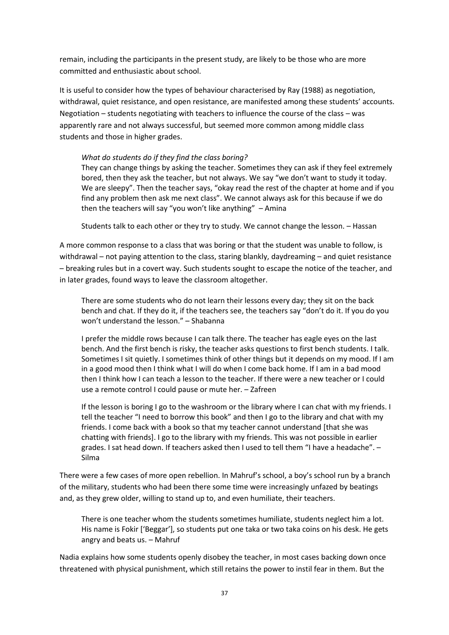remain, including the participants in the present study, are likely to be those who are more committed and enthusiastic about school.

It is useful to consider how the types of behaviour characterised by Ray (1988) as negotiation, withdrawal, quiet resistance, and open resistance, are manifested among these students' accounts. Negotiation – students negotiating with teachers to influence the course of the class – was apparently rare and not always successful, but seemed more common among middle class students and those in higher grades.

### *What do students do if they find the class boring?*

They can change things by asking the teacher. Sometimes they can ask if they feel extremely bored, then they ask the teacher, but not always. We say "we don't want to study it today. We are sleepy". Then the teacher says, "okay read the rest of the chapter at home and if you find any problem then ask me next class". We cannot always ask for this because if we do then the teachers will say "you won't like anything" – Amina

Students talk to each other or they try to study. We cannot change the lesson. – Hassan

A more common response to a class that was boring or that the student was unable to follow, is withdrawal – not paying attention to the class, staring blankly, daydreaming – and quiet resistance – breaking rules but in a covert way. Such students sought to escape the notice of the teacher, and in later grades, found ways to leave the classroom altogether.

There are some students who do not learn their lessons every day; they sit on the back bench and chat. If they do it, if the teachers see, the teachers say "don't do it. If you do you won't understand the lesson." – Shabanna

I prefer the middle rows because I can talk there. The teacher has eagle eyes on the last bench. And the first bench is risky, the teacher asks questions to first bench students. I talk. Sometimes I sit quietly. I sometimes think of other things but it depends on my mood. If I am in a good mood then I think what I will do when I come back home. If I am in a bad mood then I think how I can teach a lesson to the teacher. If there were a new teacher or I could use a remote control I could pause or mute her. – Zafreen

If the lesson is boring I go to the washroom or the library where I can chat with my friends. I tell the teacher "I need to borrow this book" and then I go to the library and chat with my friends. I come back with a book so that my teacher cannot understand [that she was chatting with friends]. I go to the library with my friends. This was not possible in earlier grades. I sat head down. If teachers asked then I used to tell them "I have a headache". – Silma

There were a few cases of more open rebellion. In Mahruf's school, a boy's school run by a branch of the military, students who had been there some time were increasingly unfazed by beatings and, as they grew older, willing to stand up to, and even humiliate, their teachers.

There is one teacher whom the students sometimes humiliate, students neglect him a lot. His name is Fokir ['Beggar'], so students put one taka or two taka coins on his desk. He gets angry and beats us. – Mahruf

Nadia explains how some students openly disobey the teacher, in most cases backing down once threatened with physical punishment, which still retains the power to instil fear in them. But the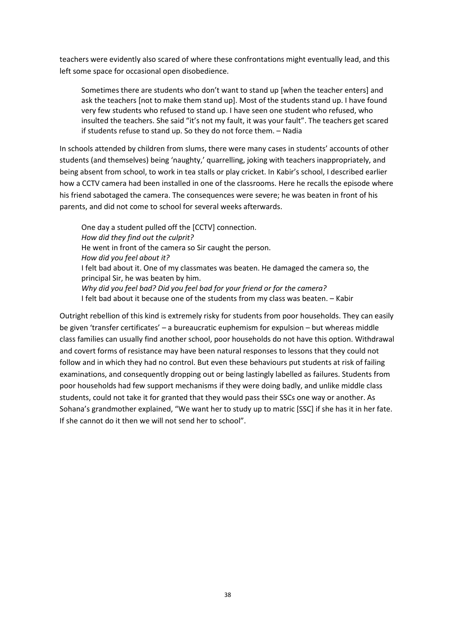teachers were evidently also scared of where these confrontations might eventually lead, and this left some space for occasional open disobedience.

Sometimes there are students who don't want to stand up [when the teacher enters] and ask the teachers [not to make them stand up]. Most of the students stand up. I have found very few students who refused to stand up. I have seen one student who refused, who insulted the teachers. She said "it's not my fault, it was your fault". The teachers get scared if students refuse to stand up. So they do not force them. – Nadia

In schools attended by children from slums, there were many cases in students' accounts of other students (and themselves) being 'naughty,' quarrelling, joking with teachers inappropriately, and being absent from school, to work in tea stalls or play cricket. In Kabir's school, I described earlier how a CCTV camera had been installed in one of the classrooms. Here he recalls the episode where his friend sabotaged the camera. The consequences were severe; he was beaten in front of his parents, and did not come to school for several weeks afterwards.

One day a student pulled off the [CCTV] connection. *How did they find out the culprit?* He went in front of the camera so Sir caught the person. *How did you feel about it?* I felt bad about it. One of my classmates was beaten. He damaged the camera so, the principal Sir, he was beaten by him. *Why did you feel bad? Did you feel bad for your friend or for the camera?* I felt bad about it because one of the students from my class was beaten. – Kabir

Outright rebellion of this kind is extremely risky for students from poor households. They can easily be given 'transfer certificates' – a bureaucratic euphemism for expulsion – but whereas middle class families can usually find another school, poor households do not have this option. Withdrawal and covert forms of resistance may have been natural responses to lessons that they could not follow and in which they had no control. But even these behaviours put students at risk of failing examinations, and consequently dropping out or being lastingly labelled as failures. Students from poor households had few support mechanisms if they were doing badly, and unlike middle class students, could not take it for granted that they would pass their SSCs one way or another. As Sohana's grandmother explained, "We want her to study up to matric [SSC] if she has it in her fate. If she cannot do it then we will not send her to school".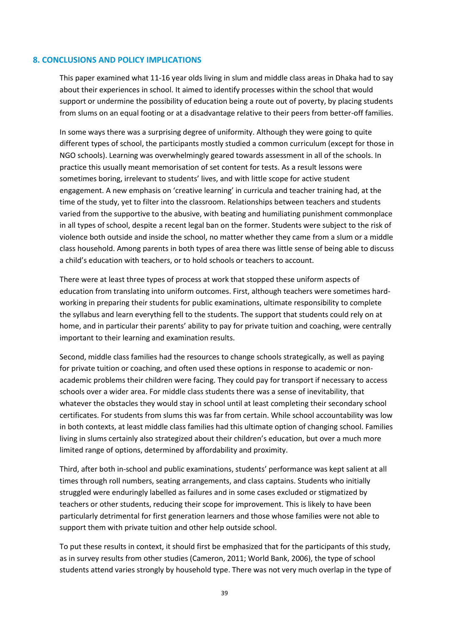#### **8. CONCLUSIONS AND POLICY IMPLICATIONS**

This paper examined what 11-16 year olds living in slum and middle class areas in Dhaka had to say about their experiences in school. It aimed to identify processes within the school that would support or undermine the possibility of education being a route out of poverty, by placing students from slums on an equal footing or at a disadvantage relative to their peers from better-off families.

In some ways there was a surprising degree of uniformity. Although they were going to quite different types of school, the participants mostly studied a common curriculum (except for those in NGO schools). Learning was overwhelmingly geared towards assessment in all of the schools. In practice this usually meant memorisation of set content for tests. As a result lessons were sometimes boring, irrelevant to students' lives, and with little scope for active student engagement. A new emphasis on 'creative learning' in curricula and teacher training had, at the time of the study, yet to filter into the classroom. Relationships between teachers and students varied from the supportive to the abusive, with beating and humiliating punishment commonplace in all types of school, despite a recent legal ban on the former. Students were subject to the risk of violence both outside and inside the school, no matter whether they came from a slum or a middle class household. Among parents in both types of area there was little sense of being able to discuss a child's education with teachers, or to hold schools or teachers to account.

There were at least three types of process at work that stopped these uniform aspects of education from translating into uniform outcomes. First, although teachers were sometimes hardworking in preparing their students for public examinations, ultimate responsibility to complete the syllabus and learn everything fell to the students. The support that students could rely on at home, and in particular their parents' ability to pay for private tuition and coaching, were centrally important to their learning and examination results.

Second, middle class families had the resources to change schools strategically, as well as paying for private tuition or coaching, and often used these options in response to academic or nonacademic problems their children were facing. They could pay for transport if necessary to access schools over a wider area. For middle class students there was a sense of inevitability, that whatever the obstacles they would stay in school until at least completing their secondary school certificates. For students from slums this was far from certain. While school accountability was low in both contexts, at least middle class families had this ultimate option of changing school. Families living in slums certainly also strategized about their children's education, but over a much more limited range of options, determined by affordability and proximity.

Third, after both in-school and public examinations, students' performance was kept salient at all times through roll numbers, seating arrangements, and class captains. Students who initially struggled were enduringly labelled as failures and in some cases excluded or stigmatized by teachers or other students, reducing their scope for improvement. This is likely to have been particularly detrimental for first generation learners and those whose families were not able to support them with private tuition and other help outside school.

To put these results in context, it should first be emphasized that for the participants of this study, as in survey results from other studies (Cameron, 2011; World Bank, 2006), the type of school students attend varies strongly by household type. There was not very much overlap in the type of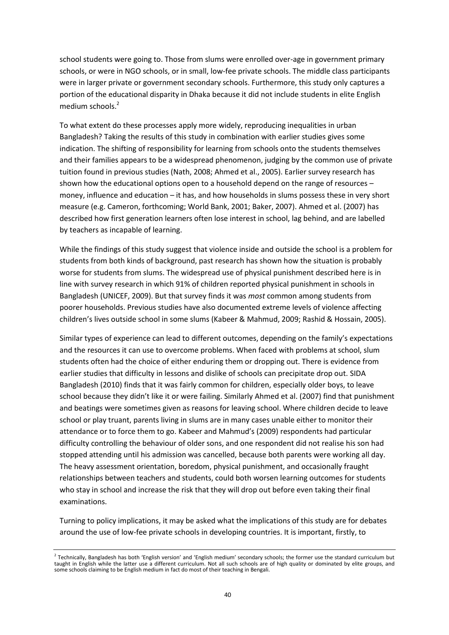school students were going to. Those from slums were enrolled over-age in government primary schools, or were in NGO schools, or in small, low-fee private schools. The middle class participants were in larger private or government secondary schools. Furthermore, this study only captures a portion of the educational disparity in Dhaka because it did not include students in elite English medium schools.<sup>2</sup>

To what extent do these processes apply more widely, reproducing inequalities in urban Bangladesh? Taking the results of this study in combination with earlier studies gives some indication. The shifting of responsibility for learning from schools onto the students themselves and their families appears to be a widespread phenomenon, judging by the common use of private tuition found in previous studies (Nath, 2008; Ahmed et al., 2005). Earlier survey research has shown how the educational options open to a household depend on the range of resources – money, influence and education – it has, and how households in slums possess these in very short measure (e.g. Cameron, forthcoming; World Bank, 2001; Baker, 2007). Ahmed et al. (2007) has described how first generation learners often lose interest in school, lag behind, and are labelled by teachers as incapable of learning.

While the findings of this study suggest that violence inside and outside the school is a problem for students from both kinds of background, past research has shown how the situation is probably worse for students from slums. The widespread use of physical punishment described here is in line with survey research in which 91% of children reported physical punishment in schools in Bangladesh (UNICEF, 2009). But that survey finds it was *most* common among students from poorer households. Previous studies have also documented extreme levels of violence affecting children's lives outside school in some slums (Kabeer & Mahmud, 2009; Rashid & Hossain, 2005).

Similar types of experience can lead to different outcomes, depending on the family's expectations and the resources it can use to overcome problems. When faced with problems at school, slum students often had the choice of either enduring them or dropping out. There is evidence from earlier studies that difficulty in lessons and dislike of schools can precipitate drop out. SIDA Bangladesh (2010) finds that it was fairly common for children, especially older boys, to leave school because they didn't like it or were failing. Similarly Ahmed et al. (2007) find that punishment and beatings were sometimes given as reasons for leaving school. Where children decide to leave school or play truant, parents living in slums are in many cases unable either to monitor their attendance or to force them to go. Kabeer and Mahmud's (2009) respondents had particular difficulty controlling the behaviour of older sons, and one respondent did not realise his son had stopped attending until his admission was cancelled, because both parents were working all day. The heavy assessment orientation, boredom, physical punishment, and occasionally fraught relationships between teachers and students, could both worsen learning outcomes for students who stay in school and increase the risk that they will drop out before even taking their final examinations.

Turning to policy implications, it may be asked what the implications of this study are for debates around the use of low-fee private schools in developing countries. It is important, firstly, to

<sup>&</sup>lt;sup>2</sup> Technically, Bangladesh has both 'English version' and 'English medium' secondary schools; the former use the standard curriculum but taught in English while the latter use a different curriculum. Not all such schools are of high quality or dominated by elite groups, and some schools claiming to be English medium in fact do most of their teaching in Bengali.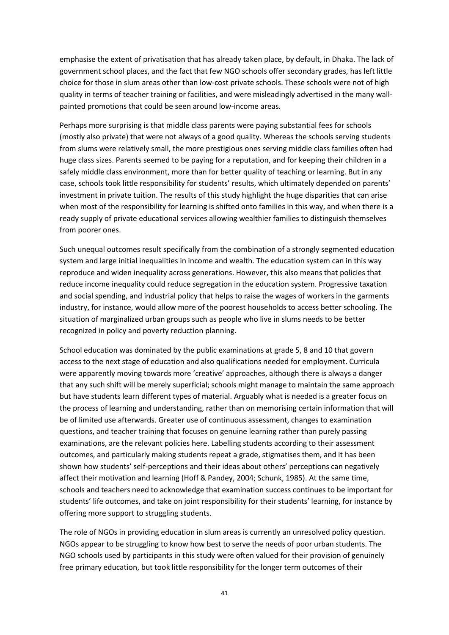emphasise the extent of privatisation that has already taken place, by default, in Dhaka. The lack of government school places, and the fact that few NGO schools offer secondary grades, has left little choice for those in slum areas other than low-cost private schools. These schools were not of high quality in terms of teacher training or facilities, and were misleadingly advertised in the many wallpainted promotions that could be seen around low-income areas.

Perhaps more surprising is that middle class parents were paying substantial fees for schools (mostly also private) that were not always of a good quality. Whereas the schools serving students from slums were relatively small, the more prestigious ones serving middle class families often had huge class sizes. Parents seemed to be paying for a reputation, and for keeping their children in a safely middle class environment, more than for better quality of teaching or learning. But in any case, schools took little responsibility for students' results, which ultimately depended on parents' investment in private tuition. The results of this study highlight the huge disparities that can arise when most of the responsibility for learning is shifted onto families in this way, and when there is a ready supply of private educational services allowing wealthier families to distinguish themselves from poorer ones.

Such unequal outcomes result specifically from the combination of a strongly segmented education system and large initial inequalities in income and wealth. The education system can in this way reproduce and widen inequality across generations. However, this also means that policies that reduce income inequality could reduce segregation in the education system. Progressive taxation and social spending, and industrial policy that helps to raise the wages of workers in the garments industry, for instance, would allow more of the poorest households to access better schooling. The situation of marginalized urban groups such as people who live in slums needs to be better recognized in policy and poverty reduction planning.

School education was dominated by the public examinations at grade 5, 8 and 10 that govern access to the next stage of education and also qualifications needed for employment. Curricula were apparently moving towards more 'creative' approaches, although there is always a danger that any such shift will be merely superficial; schools might manage to maintain the same approach but have students learn different types of material. Arguably what is needed is a greater focus on the process of learning and understanding, rather than on memorising certain information that will be of limited use afterwards. Greater use of continuous assessment, changes to examination questions, and teacher training that focuses on genuine learning rather than purely passing examinations, are the relevant policies here. Labelling students according to their assessment outcomes, and particularly making students repeat a grade, stigmatises them, and it has been shown how students' self-perceptions and their ideas about others' perceptions can negatively affect their motivation and learning (Hoff & Pandey, 2004; Schunk, 1985). At the same time, schools and teachers need to acknowledge that examination success continues to be important for students' life outcomes, and take on joint responsibility for their students' learning, for instance by offering more support to struggling students.

The role of NGOs in providing education in slum areas is currently an unresolved policy question. NGOs appear to be struggling to know how best to serve the needs of poor urban students. The NGO schools used by participants in this study were often valued for their provision of genuinely free primary education, but took little responsibility for the longer term outcomes of their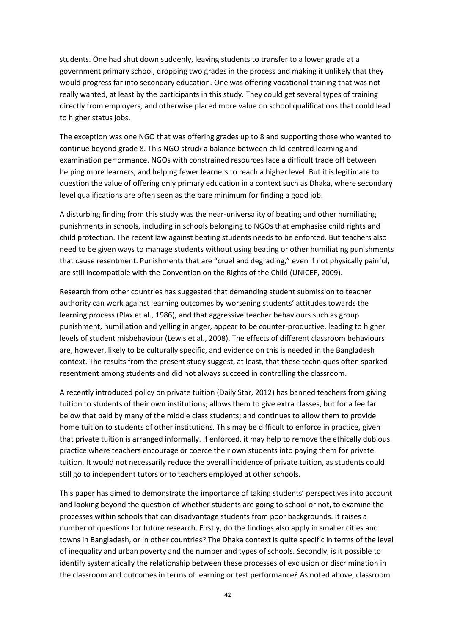students. One had shut down suddenly, leaving students to transfer to a lower grade at a government primary school, dropping two grades in the process and making it unlikely that they would progress far into secondary education. One was offering vocational training that was not really wanted, at least by the participants in this study. They could get several types of training directly from employers, and otherwise placed more value on school qualifications that could lead to higher status jobs.

The exception was one NGO that was offering grades up to 8 and supporting those who wanted to continue beyond grade 8. This NGO struck a balance between child-centred learning and examination performance. NGOs with constrained resources face a difficult trade off between helping more learners, and helping fewer learners to reach a higher level. But it is legitimate to question the value of offering only primary education in a context such as Dhaka, where secondary level qualifications are often seen as the bare minimum for finding a good job.

A disturbing finding from this study was the near-universality of beating and other humiliating punishments in schools, including in schools belonging to NGOs that emphasise child rights and child protection. The recent law against beating students needs to be enforced. But teachers also need to be given ways to manage students without using beating or other humiliating punishments that cause resentment. Punishments that are "cruel and degrading," even if not physically painful, are still incompatible with the Convention on the Rights of the Child (UNICEF, 2009).

Research from other countries has suggested that demanding student submission to teacher authority can work against learning outcomes by worsening students' attitudes towards the learning process (Plax et al., 1986), and that aggressive teacher behaviours such as group punishment, humiliation and yelling in anger, appear to be counter-productive, leading to higher levels of student misbehaviour (Lewis et al., 2008). The effects of different classroom behaviours are, however, likely to be culturally specific, and evidence on this is needed in the Bangladesh context. The results from the present study suggest, at least, that these techniques often sparked resentment among students and did not always succeed in controlling the classroom.

A recently introduced policy on private tuition (Daily Star, 2012) has banned teachers from giving tuition to students of their own institutions; allows them to give extra classes, but for a fee far below that paid by many of the middle class students; and continues to allow them to provide home tuition to students of other institutions. This may be difficult to enforce in practice, given that private tuition is arranged informally. If enforced, it may help to remove the ethically dubious practice where teachers encourage or coerce their own students into paying them for private tuition. It would not necessarily reduce the overall incidence of private tuition, as students could still go to independent tutors or to teachers employed at other schools.

This paper has aimed to demonstrate the importance of taking students' perspectives into account and looking beyond the question of whether students are going to school or not, to examine the processes within schools that can disadvantage students from poor backgrounds. It raises a number of questions for future research. Firstly, do the findings also apply in smaller cities and towns in Bangladesh, or in other countries? The Dhaka context is quite specific in terms of the level of inequality and urban poverty and the number and types of schools. Secondly, is it possible to identify systematically the relationship between these processes of exclusion or discrimination in the classroom and outcomes in terms of learning or test performance? As noted above, classroom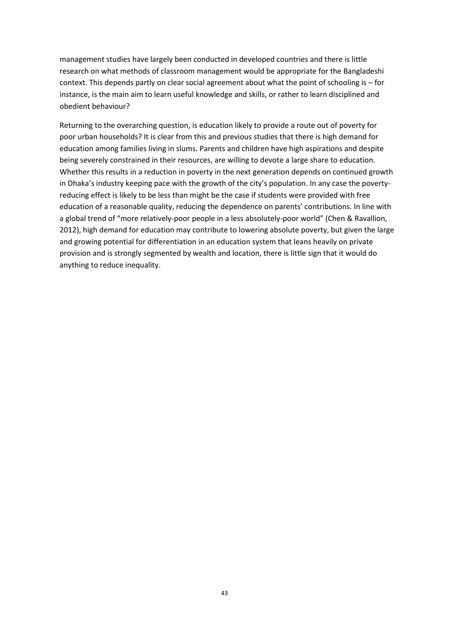management studies have largely been conducted in developed countries and there is little research on what methods of classroom management would be appropriate for the Bangladeshi context. This depends partly on clear social agreement about what the point of schooling is – for instance, is the main aim to learn useful knowledge and skills, or rather to learn disciplined and obedient behaviour?

Returning to the overarching question, is education likely to provide a route out of poverty for poor urban households? It is clear from this and previous studies that there is high demand for education among families living in slums. Parents and children have high aspirations and despite being severely constrained in their resources, are willing to devote a large share to education. Whether this results in a reduction in poverty in the next generation depends on continued growth in Dhaka's industry keeping pace with the growth of the city's population. In any case the povertyreducing effect is likely to be less than might be the case if students were provided with free education of a reasonable quality, reducing the dependence on parents' contributions. In line with a global trend of "more relatively-poor people in a less absolutely-poor world" (Chen & Ravallion, 2012), high demand for education may contribute to lowering absolute poverty, but given the large and growing potential for differentiation in an education system that leans heavily on private provision and is strongly segmented by wealth and location, there is little sign that it would do anything to reduce inequality.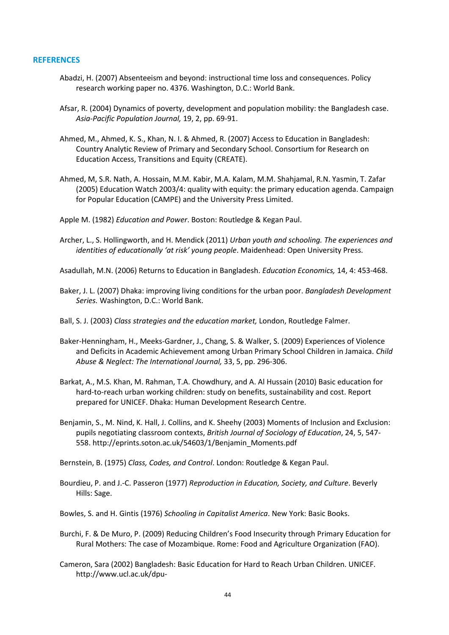#### **REFERENCES**

- Abadzi, H. (2007) Absenteeism and beyond: instructional time loss and consequences. Policy research working paper no. 4376. Washington, D.C.: World Bank.
- Afsar, R. (2004) Dynamics of poverty, development and population mobility: the Bangladesh case. *Asia-Pacific Population Journal,* 19, 2, pp. 69-91.
- Ahmed, M., Ahmed, K. S., Khan, N. I. & Ahmed, R. (2007) Access to Education in Bangladesh: Country Analytic Review of Primary and Secondary School. Consortium for Research on Education Access, Transitions and Equity (CREATE).
- Ahmed, M, S.R. Nath, A. Hossain, M.M. Kabir, M.A. Kalam, M.M. Shahjamal, R.N. Yasmin, T. Zafar (2005) Education Watch 2003/4: quality with equity: the primary education agenda. Campaign for Popular Education (CAMPE) and the University Press Limited.
- Apple M. (1982) *Education and Power*. Boston: Routledge & Kegan Paul.
- Archer, L., S. Hollingworth, and H. Mendick (2011) *Urban youth and schooling. The experiences and identities of educationally 'at risk' young people*. Maidenhead: Open University Press.
- Asadullah, M.N. (2006) Returns to Education in Bangladesh. *Education Economics,* 14, 4: 453-468.
- Baker, J. L. (2007) Dhaka: improving living conditions for the urban poor. *Bangladesh Development Series.* Washington, D.C.: World Bank.
- Ball, S. J. (2003) *Class strategies and the education market,* London, Routledge Falmer.
- Baker-Henningham, H., Meeks-Gardner, J., Chang, S. & Walker, S. (2009) Experiences of Violence and Deficits in Academic Achievement among Urban Primary School Children in Jamaica. *Child Abuse & Neglect: The International Journal,* 33, 5, pp. 296-306.
- Barkat, A., M.S. Khan, M. Rahman, T.A. Chowdhury, and A. Al Hussain (2010) Basic education for hard-to-reach urban working children: study on benefits, sustainability and cost. Report prepared for UNICEF. Dhaka: Human Development Research Centre.
- Benjamin, S., M. Nind, K. Hall, J. Collins, and K. Sheehy (2003) Moments of Inclusion and Exclusion: pupils negotiating classroom contexts, *British Journal of Sociology of Education*, 24, 5, 547- 558. [http://eprints.soton.ac.uk/54603/1/Benjamin\\_Moments.pdf](http://eprints.soton.ac.uk/54603/1/Benjamin_Moments.pdf)

Bernstein, B. (1975) *Class, Codes, and Control*. London: Routledge & Kegan Paul.

- Bourdieu, P. and J.-C. Passeron (1977) *Reproduction in Education, Society, and Culture*. Beverly Hills: Sage.
- Bowles, S. and H. Gintis (1976) *Schooling in Capitalist America*. New York: Basic Books.
- Burchi, F. & De Muro, P. (2009) Reducing Children's Food Insecurity through Primary Education for Rural Mothers: The case of Mozambique. Rome: Food and Agriculture Organization (FAO).
- Cameron, Sara (2002) Bangladesh: Basic Education for Hard to Reach Urban Children. UNICEF. [http://www.ucl.ac.uk/dpu-](http://www.ucl.ac.uk/dpu-projects/drivers_urb_change/urb_society/pdf_health_educ/UNICEF_DFID_Sara_Bangladesh_basic_education.pdf)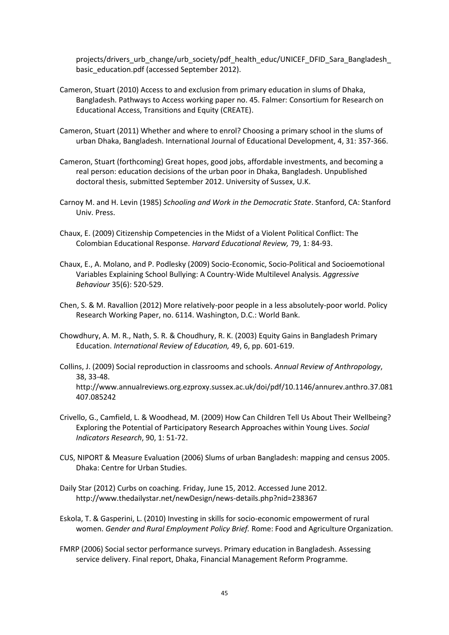[projects/drivers\\_urb\\_change/urb\\_society/pdf\\_health\\_educ/UNICEF\\_DFID\\_Sara\\_Bangladesh\\_](http://www.ucl.ac.uk/dpu-projects/drivers_urb_change/urb_society/pdf_health_educ/UNICEF_DFID_Sara_Bangladesh_basic_education.pdf) [basic\\_education.pdf](http://www.ucl.ac.uk/dpu-projects/drivers_urb_change/urb_society/pdf_health_educ/UNICEF_DFID_Sara_Bangladesh_basic_education.pdf) (accessed September 2012).

- Cameron, Stuart (2010) Access to and exclusion from primary education in slums of Dhaka, Bangladesh. Pathways to Access working paper no. 45. Falmer: Consortium for Research on Educational Access, Transitions and Equity (CREATE).
- Cameron, Stuart (2011) Whether and where to enrol? Choosing a primary school in the slums of urban Dhaka, Bangladesh. International Journal of Educational Development, 4, 31: 357-366.
- Cameron, Stuart (forthcoming) Great hopes, good jobs, affordable investments, and becoming a real person: education decisions of the urban poor in Dhaka, Bangladesh. Unpublished doctoral thesis, submitted September 2012. University of Sussex, U.K.
- Carnoy M. and H. Levin (1985) *Schooling and Work in the Democratic State*. Stanford, CA: Stanford Univ. Press.
- Chaux, E. (2009) Citizenship Competencies in the Midst of a Violent Political Conflict: The Colombian Educational Response. *Harvard Educational Review,* 79, 1: 84-93.
- Chaux, E., A. Molano, and P. Podlesky (2009) Socio-Economic, Socio-Political and Socioemotional Variables Explaining School Bullying: A Country-Wide Multilevel Analysis. *Aggressive Behaviour* 35(6): 520-529.
- Chen, S. & M. Ravallion (2012) More relatively-poor people in a less absolutely-poor world. Policy Research Working Paper, no. 6114. Washington, D.C.: World Bank.
- Chowdhury, A. M. R., Nath, S. R. & Choudhury, R. K. (2003) Equity Gains in Bangladesh Primary Education. *International Review of Education,* 49, 6, pp. 601-619.
- Collins, J. (2009) Social reproduction in classrooms and schools. *Annual Review of Anthropology*, 38, 33-48. [http://www.annualreviews.org.ezproxy.sussex.ac.uk/doi/pdf/10.1146/annurev.anthro.37.081](http://www.annualreviews.org.ezproxy.sussex.ac.uk/doi/pdf/10.1146/annurev.anthro.37.081407.085242) [407.085242](http://www.annualreviews.org.ezproxy.sussex.ac.uk/doi/pdf/10.1146/annurev.anthro.37.081407.085242)
- Crivello, G., Camfield, L. & Woodhead, M. (2009) How Can Children Tell Us About Their Wellbeing? Exploring the Potential of Participatory Research Approaches within Young Lives. *Social Indicators Research*, 90, 1: 51-72.
- CUS, NIPORT & Measure Evaluation (2006) Slums of urban Bangladesh: mapping and census 2005. Dhaka: Centre for Urban Studies.
- Daily Star (2012) Curbs on coaching. Friday, June 15, 2012. Accessed June 2012. <http://www.thedailystar.net/newDesign/news-details.php?nid=238367>
- Eskola, T. & Gasperini, L. (2010) Investing in skills for socio-economic empowerment of rural women. *Gender and Rural Employment Policy Brief.* Rome: Food and Agriculture Organization.
- FMRP (2006) Social sector performance surveys. Primary education in Bangladesh. Assessing service delivery. Final report, Dhaka, Financial Management Reform Programme.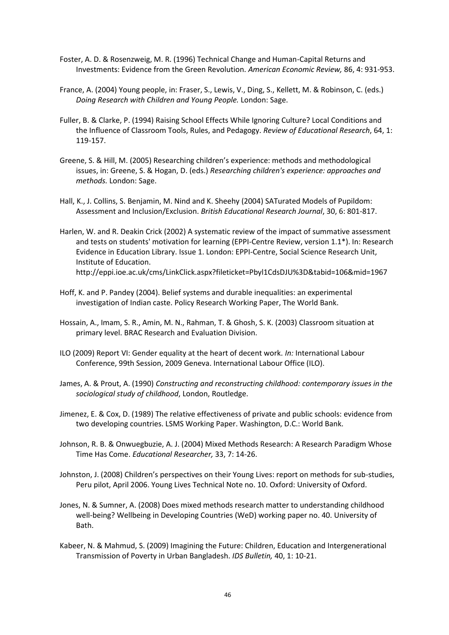- Foster, A. D. & Rosenzweig, M. R. (1996) Technical Change and Human-Capital Returns and Investments: Evidence from the Green Revolution. *American Economic Review,* 86, 4: 931-953.
- France, A. (2004) Young people, in: Fraser, S., Lewis, V., Ding, S., Kellett, M. & Robinson, C. (eds.) *Doing Research with Children and Young People.* London: Sage.
- Fuller, B. & Clarke, P. (1994) Raising School Effects While Ignoring Culture? Local Conditions and the Influence of Classroom Tools, Rules, and Pedagogy. *Review of Educational Research*, 64, 1: 119-157.
- Greene, S. & Hill, M. (2005) Researching children's experience: methods and methodological issues, in: Greene, S. & Hogan, D. (eds.) *Researching children's experience: approaches and methods.* London: Sage.
- Hall, K., J. Collins, S. Benjamin, M. Nind and K. Sheehy (2004) SATurated Models of Pupildom: Assessment and Inclusion/Exclusion. *British Educational Research Journal*, 30, 6: 801-817.
- Harlen, W. and R. Deakin Crick (2002) A systematic review of the impact of summative assessment and tests on students' motivation for learning (EPPI-Centre Review, version 1.1\*). In: Research Evidence in Education Library. Issue 1. London: EPPI-Centre, Social Science Research Unit, Institute of Education. <http://eppi.ioe.ac.uk/cms/LinkClick.aspx?fileticket=Pbyl1CdsDJU%3D&tabid=106&mid=1967>
- Hoff, K. and P. Pandey (2004). Belief systems and durable inequalities: an experimental investigation of Indian caste. Policy Research Working Paper, The World Bank.
- Hossain, A., Imam, S. R., Amin, M. N., Rahman, T. & Ghosh, S. K. (2003) Classroom situation at primary level. BRAC Research and Evaluation Division.
- ILO (2009) Report VI: Gender equality at the heart of decent work. *In:* International Labour Conference, 99th Session, 2009 Geneva. International Labour Office (ILO).
- James, A. & Prout, A. (1990) *Constructing and reconstructing childhood: contemporary issues in the sociological study of childhood*, London, Routledge.
- Jimenez, E. & Cox, D. (1989) The relative effectiveness of private and public schools: evidence from two developing countries. LSMS Working Paper. Washington, D.C.: World Bank.
- Johnson, R. B. & Onwuegbuzie, A. J. (2004) Mixed Methods Research: A Research Paradigm Whose Time Has Come. *Educational Researcher,* 33, 7: 14-26.
- Johnston, J. (2008) Children's perspectives on their Young Lives: report on methods for sub-studies, Peru pilot, April 2006. Young Lives Technical Note no. 10. Oxford: University of Oxford.
- Jones, N. & Sumner, A. (2008) Does mixed methods research matter to understanding childhood well-being? Wellbeing in Developing Countries (WeD) working paper no. 40. University of Bath.
- Kabeer, N. & Mahmud, S. (2009) Imagining the Future: Children, Education and Intergenerational Transmission of Poverty in Urban Bangladesh. *IDS Bulletin,* 40, 1: 10-21.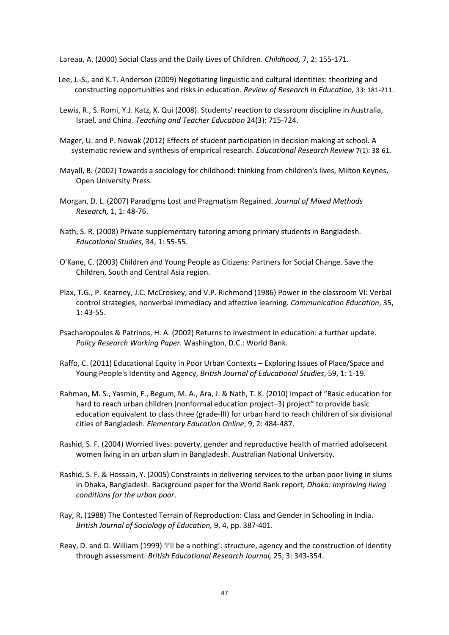Lareau, A. (2000) Social Class and the Daily Lives of Children. *Childhood,* 7, 2: 155-171.

- Lee, J.-S., and K.T. Anderson (2009) Negotiating linguistic and cultural identities: theorizing and constructing opportunities and risks in education. *Review of Research in Education,* 33: 181-211.
- Lewis, R., S. Romi, Y.J. Katz, X. Qui (2008). Students' reaction to classroom discipline in Australia, Israel, and China. *Teaching and Teacher Education* 24(3): 715-724.
- Mager, U. and P. Nowak (2012) Effects of student participation in decision making at school. A systematic review and synthesis of empirical research. *Educational Research Review* 7(1): 38-61.
- Mayall, B. (2002) Towards a sociology for childhood: thinking from children's lives, Milton Keynes, Open University Press.
- Morgan, D. L. (2007) Paradigms Lost and Pragmatism Regained. *Journal of Mixed Methods Research,* 1, 1: 48-76.
- Nath, S. R. (2008) Private supplementary tutoring among primary students in Bangladesh. *Educational Studies,* 34, 1: 55-55.
- O'Kane, C. (2003) Children and Young People as Citizens: Partners for Social Change. Save the Children, South and Central Asia region.
- Plax, T.G., P. Kearney, J.C. McCroskey, and V.P. Richmond (1986) Power in the classroom VI: Verbal control strategies, nonverbal immediacy and affective learning. *Communication Education*, 35, 1: 43-55.
- Psacharopoulos & Patrinos, H. A. (2002) Returns to investment in education: a further update. *Policy Research Working Paper.* Washington, D.C.: World Bank.
- Raffo, C. (2011) Educational Equity in Poor Urban Contexts Exploring Issues of Place/Space and Young People's Identity and Agency, *British Journal of Educational Studies*, 59, 1: 1-19.
- Rahman, M. S., Yasmin, F., Begum, M. A., Ara, J. & Nath, T. K. (2010) Impact of "Basic education for hard to reach urban children (nonformal education project–3) project" to provide basic education equivalent to class three (grade-III) for urban hard to reach children of six divisional cities of Bangladesh. *Elementary Education Online*, 9, 2: 484-487.
- Rashid, S. F. (2004) Worried lives: poverty, gender and reproductive health of married adolsecent women living in an urban slum in Bangladesh. Australian National University.
- Rashid, S. F. & Hossain, Y. (2005) Constraints in delivering services to the urban poor living in slums in Dhaka, Bangladesh. Background paper for the World Bank report, *Dhaka: improving living conditions for the urban poor*.
- Ray, R. (1988) The Contested Terrain of Reproduction: Class and Gender in Schooling in India. *British Journal of Sociology of Education,* 9, 4, pp. 387-401.
- Reay, D. and D. William (1999) 'I'll be a nothing': structure, agency and the construction of identity through assessment. *British Educational Research Journal,* 25, 3: 343-354.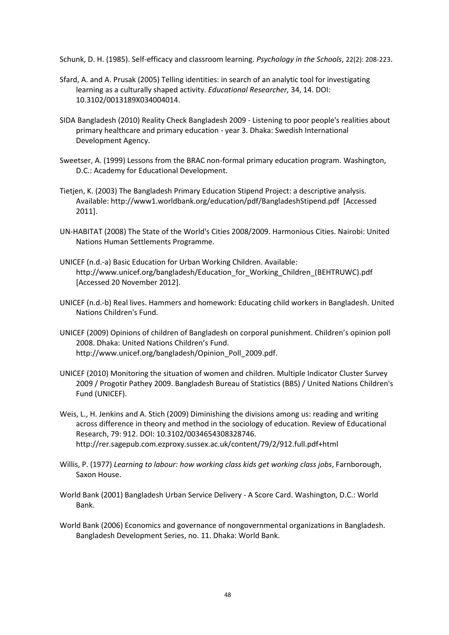Schunk, D. H. (1985). Self-efficacy and classroom learning. *Psychology in the Schools*, 22(2): 208-223.

- Sfard, A. and A. Prusak (2005) Telling identities: in search of an analytic tool for investigating learning as a culturally shaped activity. *Educational Researcher,* 34, 14. DOI: 10.3102/0013189X034004014.
- SIDA Bangladesh (2010) Reality Check Bangladesh 2009 Listening to poor people's realities about primary healthcare and primary education - year 3. Dhaka: Swedish International Development Agency.
- Sweetser, A. (1999) Lessons from the BRAC non-formal primary education program. Washington, D.C.: Academy for Educational Development.
- Tietjen, K. (2003) The Bangladesh Primary Education Stipend Project: a descriptive analysis. Available: http://www1.worldbank.org/education/pdf/BangladeshStipend.pdf [Accessed 2011].
- UN-HABITAT (2008) The State of the World's Cities 2008/2009. Harmonious Cities. Nairobi: United Nations Human Settlements Programme.
- UNICEF (n.d.-a) Basic Education for Urban Working Children. Available: http://www.unicef.org/bangladesh/Education\_for\_Working\_Children\_(BEHTRUWC).pdf [Accessed 20 November 2012].
- UNICEF (n.d.-b) Real lives. Hammers and homework: Educating child workers in Bangladesh. United Nations Children's Fund.
- UNICEF (2009) Opinions of children of Bangladesh on corporal punishment. Children's opinion poll 2008. Dhaka: United Nations Children's Fund. http://www.unicef.org/bangladesh/Opinion\_Poll\_2009.pdf.
- UNICEF (2010) Monitoring the situation of women and children. Multiple Indicator Cluster Survey 2009 / Progotir Pathey 2009. Bangladesh Bureau of Statistics (BBS) / United Nations Children's Fund (UNICEF).
- Weis, L., H. Jenkins and A. Stich (2009) Diminishing the divisions among us: reading and writing across difference in theory and method in the sociology of education. Review of Educational Research, 79: 912. DOI: 10.3102/0034654308328746. <http://rer.sagepub.com.ezproxy.sussex.ac.uk/content/79/2/912.full.pdf+html>
- Willis, P. (1977) *Learning to labour: how working class kids get working class jobs*, Farnborough, Saxon House.
- World Bank (2001) Bangladesh Urban Service Delivery A Score Card. Washington, D.C.: World Bank.
- World Bank (2006) Economics and governance of nongovernmental organizations in Bangladesh. Bangladesh Development Series, no. 11. Dhaka: World Bank.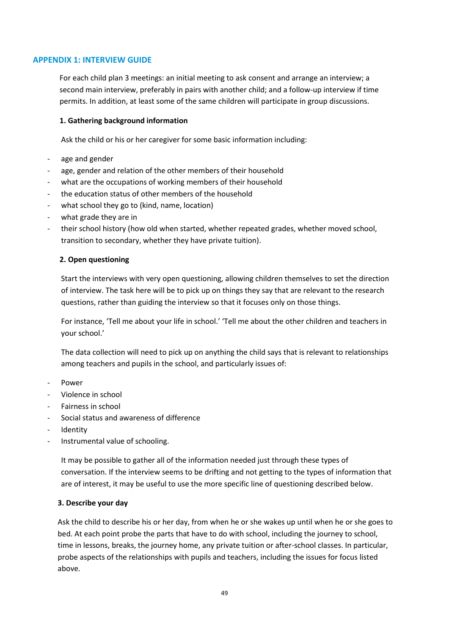## **APPENDIX 1: INTERVIEW GUIDE**

For each child plan 3 meetings: an initial meeting to ask consent and arrange an interview; a second main interview, preferably in pairs with another child; and a follow-up interview if time permits. In addition, at least some of the same children will participate in group discussions.

#### **1. Gathering background information**

Ask the child or his or her caregiver for some basic information including:

- age and gender
- age, gender and relation of the other members of their household
- what are the occupations of working members of their household
- the education status of other members of the household
- what school they go to (kind, name, location)
- what grade they are in
- their school history (how old when started, whether repeated grades, whether moved school, transition to secondary, whether they have private tuition).

#### **2. Open questioning**

Start the interviews with very open questioning, allowing children themselves to set the direction of interview. The task here will be to pick up on things they say that are relevant to the research questions, rather than guiding the interview so that it focuses only on those things.

For instance, 'Tell me about your life in school.' 'Tell me about the other children and teachers in your school.'

The data collection will need to pick up on anything the child says that is relevant to relationships among teachers and pupils in the school, and particularly issues of:

- **Power**
- Violence in school
- Fairness in school
- Social status and awareness of difference
- **Identity**
- Instrumental value of schooling.

It may be possible to gather all of the information needed just through these types of conversation. If the interview seems to be drifting and not getting to the types of information that are of interest, it may be useful to use the more specific line of questioning described below.

#### **3. Describe your day**

Ask the child to describe his or her day, from when he or she wakes up until when he or she goes to bed. At each point probe the parts that have to do with school, including the journey to school, time in lessons, breaks, the journey home, any private tuition or after-school classes. In particular, probe aspects of the relationships with pupils and teachers, including the issues for focus listed above.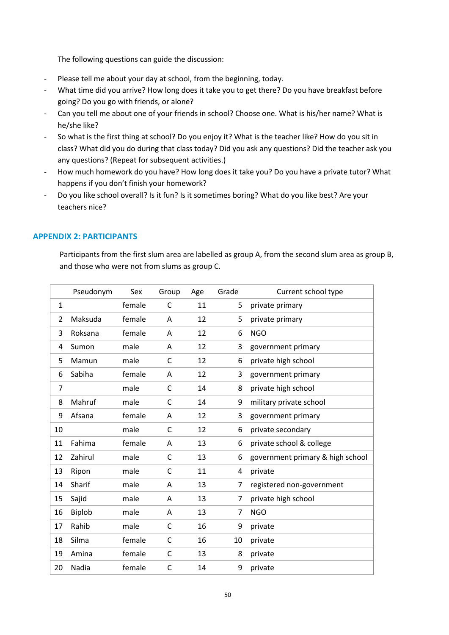The following questions can guide the discussion:

- Please tell me about your day at school, from the beginning, today.
- What time did you arrive? How long does it take you to get there? Do you have breakfast before going? Do you go with friends, or alone?
- Can you tell me about one of your friends in school? Choose one. What is his/her name? What is he/she like?
- So what is the first thing at school? Do you enjoy it? What is the teacher like? How do you sit in class? What did you do during that class today? Did you ask any questions? Did the teacher ask you any questions? (Repeat for subsequent activities.)
- How much homework do you have? How long does it take you? Do you have a private tutor? What happens if you don't finish your homework?
- Do you like school overall? Is it fun? Is it sometimes boring? What do you like best? Are your teachers nice?

# **APPENDIX 2: PARTICIPANTS**

Participants from the first slum area are labelled as group A, from the second slum area as group B, and those who were not from slums as group C.

|                | Pseudonym | Sex    | Group        | Age | Grade | Current school type              |
|----------------|-----------|--------|--------------|-----|-------|----------------------------------|
| $\mathbf{1}$   |           | female | C            | 11  | 5     | private primary                  |
| $\overline{2}$ | Maksuda   | female | Α            | 12  | 5     | private primary                  |
| 3              | Roksana   | female | A            | 12  | 6     | <b>NGO</b>                       |
| 4              | Sumon     | male   | Α            | 12  | 3     | government primary               |
| 5              | Mamun     | male   | $\mathsf{C}$ | 12  | 6     | private high school              |
| 6              | Sabiha    | female | Α            | 12  | 3     | government primary               |
| $\overline{7}$ |           | male   | C            | 14  | 8     | private high school              |
| 8              | Mahruf    | male   | $\mathsf{C}$ | 14  | 9     | military private school          |
| 9              | Afsana    | female | A            | 12  | 3     | government primary               |
| 10             |           | male   | $\mathsf{C}$ | 12  | 6     | private secondary                |
| 11             | Fahima    | female | A            | 13  | 6     | private school & college         |
| 12             | Zahirul   | male   | $\mathsf{C}$ | 13  | 6     | government primary & high school |
| 13             | Ripon     | male   | C            | 11  | 4     | private                          |
| 14             | Sharif    | male   | Α            | 13  | 7     | registered non-government        |
| 15             | Sajid     | male   | A            | 13  | 7     | private high school              |
| 16             | Biplob    | male   | A            | 13  | 7     | <b>NGO</b>                       |
| 17             | Rahib     | male   | C            | 16  | 9     | private                          |
| 18             | Silma     | female | $\mathsf{C}$ | 16  | 10    | private                          |
| 19             | Amina     | female | $\mathsf{C}$ | 13  | 8     | private                          |
| 20             | Nadia     | female | C            | 14  | 9     | private                          |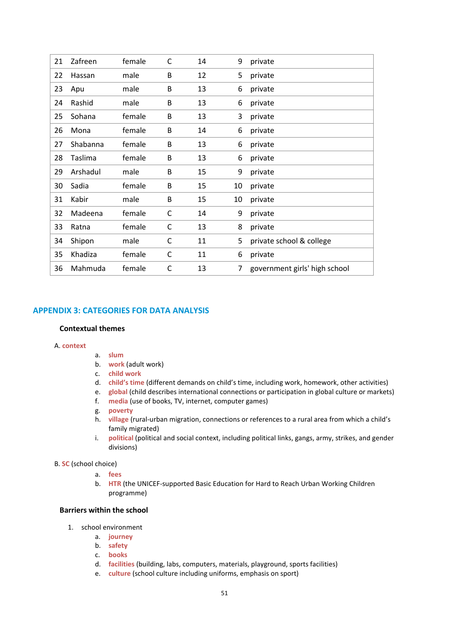| 21 | Zafreen  | female | C            | 14 | 9  | private                       |
|----|----------|--------|--------------|----|----|-------------------------------|
| 22 | Hassan   | male   | B            | 12 | 5  | private                       |
| 23 | Apu      | male   | B            | 13 | 6  | private                       |
| 24 | Rashid   | male   | B            | 13 | 6  | private                       |
| 25 | Sohana   | female | B            | 13 | 3  | private                       |
| 26 | Mona     | female | B            | 14 | 6  | private                       |
| 27 | Shabanna | female | B            | 13 | 6  | private                       |
| 28 | Taslima  | female | B            | 13 | 6  | private                       |
| 29 | Arshadul | male   | B            | 15 | 9  | private                       |
| 30 | Sadia    | female | B            | 15 | 10 | private                       |
| 31 | Kabir    | male   | B            | 15 | 10 | private                       |
| 32 | Madeena  | female | C            | 14 | 9  | private                       |
| 33 | Ratna    | female | $\mathsf{C}$ | 13 | 8  | private                       |
| 34 | Shipon   | male   | С            | 11 | 5  | private school & college      |
| 35 | Khadiza  | female | C            | 11 | 6  | private                       |
| 36 | Mahmuda  | female | $\mathsf{C}$ | 13 | 7  | government girls' high school |

## **APPENDIX 3: CATEGORIES FOR DATA ANALYSIS**

#### **Contextual themes**

#### A. **context**

- a. **slum**
- b. **work** (adult work)
- c. **child work**
- d. **child's time** (different demands on child's time, including work, homework, other activities)
- e. **global** (child describes international connections or participation in global culture or markets)
- f. **media** (use of books, TV, internet, computer games)
- g. **poverty**
- h. **village** (rural-urban migration, connections or references to a rural area from which a child's family migrated)
- i. **political** (political and social context, including political links, gangs, army, strikes, and gender divisions)

#### B. **SC** (school choice)

- a. **fees**
- b. **HTR** (the UNICEF-supported Basic Education for Hard to Reach Urban Working Children programme)

#### **Barriers within the school**

- 1. school environment
	- a. **journey**
	- b. **safety**
	- c. **books**
	- d. **facilities** (building, labs, computers, materials, playground, sports facilities)
	- e. **culture** (school culture including uniforms, emphasis on sport)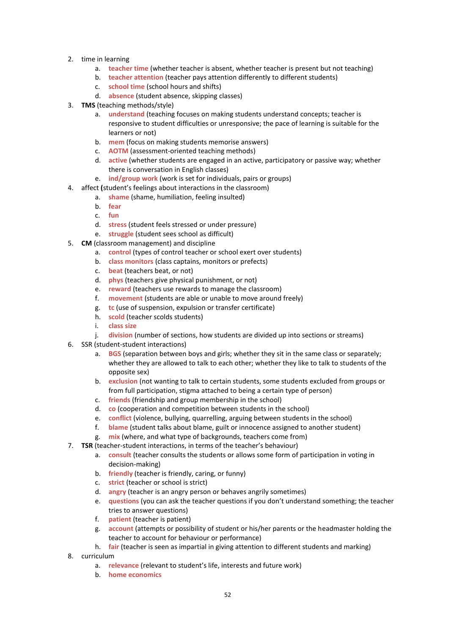- 2. time in learning
	- a. **teacher time** (whether teacher is absent, whether teacher is present but not teaching)
	- b. **teacher attention** (teacher pays attention differently to different students)
	- c. **school time** (school hours and shifts)
	- d. **absence** (student absence, skipping classes)
- 3. **TMS** (teaching methods/style)
	- a. **understand** (teaching focuses on making students understand concepts; teacher is responsive to student difficulties or unresponsive; the pace of learning is suitable for the learners or not)
	- b. **mem** (focus on making students memorise answers)
	- c. **AOTM** (assessment-oriented teaching methods)
	- d. **active** (whether students are engaged in an active, participatory or passive way; whether there is conversation in English classes)
	- e. **ind/group work** (work is set for individuals, pairs or groups)
- 4. affect **(**student's feelings about interactions in the classroom)
	- a. **shame** (shame, humiliation, feeling insulted)
		- b. **fear**
	- c. **fun**
	- d. **stress** (student feels stressed or under pressure)
	- e. **struggle** (student sees school as difficult)
- 5. **CM** (classroom management) and discipline
	- a. **control** (types of control teacher or school exert over students)
	- b. **class monitors** (class captains, monitors or prefects)
	- c. **beat** (teachers beat, or not)
	- d. **phys** (teachers give physical punishment, or not)
	- e. **reward** (teachers use rewards to manage the classroom)
	- f. **movement** (students are able or unable to move around freely)
	- g. **tc** (use of suspension, expulsion or transfer certificate)
	- h. **scold** (teacher scolds students)
	- i. **class size**
	- j. **division** (number of sections, how students are divided up into sections or streams)
- 6. SSR (student-student interactions)
	- a. **BGS** (separation between boys and girls; whether they sit in the same class or separately; whether they are allowed to talk to each other; whether they like to talk to students of the opposite sex)
	- b. **exclusion** (not wanting to talk to certain students, some students excluded from groups or from full participation, stigma attached to being a certain type of person)
	- c. **friends** (friendship and group membership in the school)
	- d. **co** (cooperation and competition between students in the school)
	- e. **conflict** (violence, bullying, quarrelling, arguing between students in the school)
	- f. **blame** (student talks about blame, guilt or innocence assigned to another student)
	- g. **mix** (where, and what type of backgrounds, teachers come from)
- 7. **TSR** (teacher-student interactions, in terms of the teacher's behaviour)
	- a. **consult** (teacher consults the students or allows some form of participation in voting in decision-making)
	- b. **friendly** (teacher is friendly, caring, or funny)
	- c. **strict** (teacher or school is strict)
	- d. **angry** (teacher is an angry person or behaves angrily sometimes)
	- e. **questions** (you can ask the teacher questions if you don't understand something; the teacher tries to answer questions)
	- f. **patient** (teacher is patient)
	- g. **account** (attempts or possibility of student or his/her parents or the headmaster holding the teacher to account for behaviour or performance)
	- h. **fair** (teacher is seen as impartial in giving attention to different students and marking)
- 8. curriculum
	- a. **relevance** (relevant to student's life, interests and future work)
	- b. **home economics**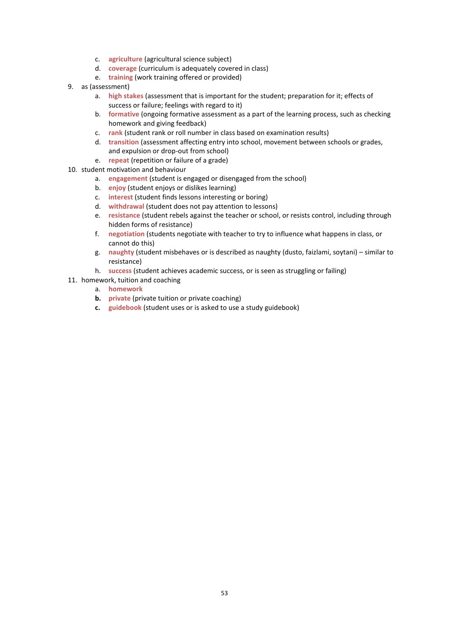- c. **agriculture** (agricultural science subject)
- d. **coverage** (curriculum is adequately covered in class)
- e. **training** (work training offered or provided)
- 9. as (assessment)
	- a. **high stakes** (assessment that is important for the student; preparation for it; effects of success or failure; feelings with regard to it)
	- b. **formative** (ongoing formative assessment as a part of the learning process, such as checking homework and giving feedback)
	- c. **rank** (student rank or roll number in class based on examination results)
	- d. **transition** (assessment affecting entry into school, movement between schools or grades, and expulsion or drop-out from school)
	- e. **repeat** (repetition or failure of a grade)
- 10. student motivation and behaviour
	- a. **engagement** (student is engaged or disengaged from the school)
	- b. **enjoy** (student enjoys or dislikes learning)
	- c. **interest** (student finds lessons interesting or boring)
	- d. **withdrawal** (student does not pay attention to lessons)
	- e. **resistance** (student rebels against the teacher or school, or resists control, including through hidden forms of resistance)
	- f. **negotiation** (students negotiate with teacher to try to influence what happens in class, or cannot do this)
	- g. **naughty** (student misbehaves or is described as naughty (dusto, faizlami, soytani) similar to resistance)
	- h. **success** (student achieves academic success, or is seen as struggling or failing)
- 11. homework, tuition and coaching
	- a. **homework**
	- **b. private** (private tuition or private coaching)
	- **c. guidebook** (student uses or is asked to use a study guidebook)